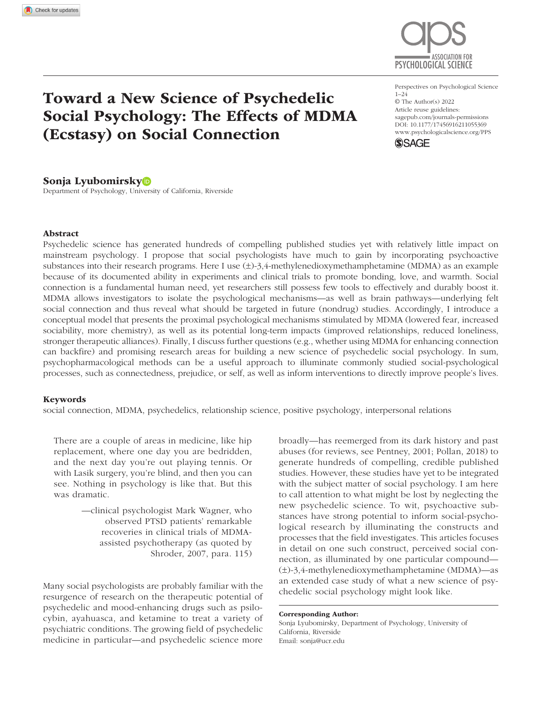

# Toward a New Science of Psychedelic Social Psychology: The Effects of MDMA (Ecstasy) on Social Connection

https://doi.org/10.1177/17456916211055369 DOI: 10.1177/17456916211055369 Perspectives on Psychological Science 1–24 © The Author(s) 2022 Article reuse guidelines: [sagepub.com/journals-permissions](https://us.sagepub.com/en-us/journals-permissions) [www.psychologicalscience.org/PPS](http://www.psychologicalscience.org/pps)



### Sonja Lyubomirsky

Department of Psychology, University of California, Riverside

#### Abstract

Psychedelic science has generated hundreds of compelling published studies yet with relatively little impact on mainstream psychology. I propose that social psychologists have much to gain by incorporating psychoactive substances into their research programs. Here I use  $(\pm)$ -3,4-methylenedioxymethamphetamine (MDMA) as an example because of its documented ability in experiments and clinical trials to promote bonding, love, and warmth. Social connection is a fundamental human need, yet researchers still possess few tools to effectively and durably boost it. MDMA allows investigators to isolate the psychological mechanisms—as well as brain pathways—underlying felt social connection and thus reveal what should be targeted in future (nondrug) studies. Accordingly, I introduce a conceptual model that presents the proximal psychological mechanisms stimulated by MDMA (lowered fear, increased sociability, more chemistry), as well as its potential long-term impacts (improved relationships, reduced loneliness, stronger therapeutic alliances). Finally, I discuss further questions (e.g., whether using MDMA for enhancing connection can backfire) and promising research areas for building a new science of psychedelic social psychology. In sum, psychopharmacological methods can be a useful approach to illuminate commonly studied social-psychological processes, such as connectedness, prejudice, or self, as well as inform interventions to directly improve people's lives.

#### Keywords

social connection, MDMA, psychedelics, relationship science, positive psychology, interpersonal relations

There are a couple of areas in medicine, like hip replacement, where one day you are bedridden, and the next day you're out playing tennis. Or with Lasik surgery, you're blind, and then you can see. Nothing in psychology is like that. But this was dramatic.

> —clinical psychologist Mark Wagner, who observed PTSD patients' remarkable recoveries in clinical trials of MDMAassisted psychotherapy (as quoted by Shroder, 2007, para. 115)

Many social psychologists are probably familiar with the resurgence of research on the therapeutic potential of psychedelic and mood-enhancing drugs such as psilocybin, ayahuasca, and ketamine to treat a variety of psychiatric conditions. The growing field of psychedelic medicine in particular—and psychedelic science more

broadly—has reemerged from its dark history and past abuses (for reviews, see Pentney, 2001; Pollan, 2018) to generate hundreds of compelling, credible published studies. However, these studies have yet to be integrated with the subject matter of social psychology. I am here to call attention to what might be lost by neglecting the new psychedelic science. To wit, psychoactive substances have strong potential to inform social-psychological research by illuminating the constructs and processes that the field investigates. This articles focuses in detail on one such construct, perceived social connection, as illuminated by one particular compound— (±)-3,4-methylenedioxymethamphetamine (MDMA)—as an extended case study of what a new science of psychedelic social psychology might look like.

Corresponding Author: Sonja Lyubomirsky, Department of Psychology, University of California, Riverside Email: [sonja@ucr.edu](mailto:sonja@ucr.edu)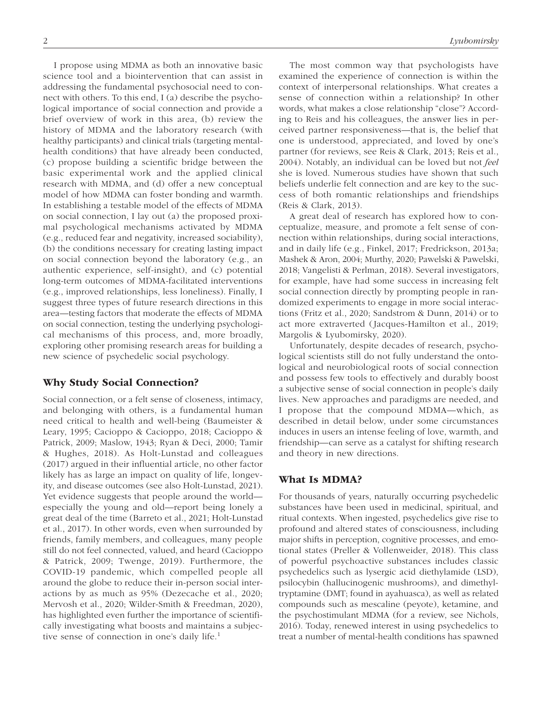I propose using MDMA as both an innovative basic science tool and a biointervention that can assist in addressing the fundamental psychosocial need to connect with others. To this end, I (a) describe the psychological importance of social connection and provide a brief overview of work in this area, (b) review the history of MDMA and the laboratory research (with healthy participants) and clinical trials (targeting mentalhealth conditions) that have already been conducted, (c) propose building a scientific bridge between the basic experimental work and the applied clinical research with MDMA, and (d) offer a new conceptual model of how MDMA can foster bonding and warmth. In establishing a testable model of the effects of MDMA on social connection, I lay out (a) the proposed proximal psychological mechanisms activated by MDMA (e.g., reduced fear and negativity, increased sociability), (b) the conditions necessary for creating lasting impact on social connection beyond the laboratory (e.g., an authentic experience, self-insight), and (c) potential long-term outcomes of MDMA-facilitated interventions (e.g., improved relationships, less loneliness). Finally, I suggest three types of future research directions in this area—testing factors that moderate the effects of MDMA on social connection, testing the underlying psychological mechanisms of this process, and, more broadly, exploring other promising research areas for building a new science of psychedelic social psychology.

### Why Study Social Connection?

Social connection, or a felt sense of closeness, intimacy, and belonging with others, is a fundamental human need critical to health and well-being (Baumeister & Leary, 1995; Cacioppo & Cacioppo, 2018; Cacioppo & Patrick, 2009; Maslow, 1943; Ryan & Deci, 2000; Tamir & Hughes, 2018). As Holt-Lunstad and colleagues (2017) argued in their influential article, no other factor likely has as large an impact on quality of life, longevity, and disease outcomes (see also Holt-Lunstad, 2021). Yet evidence suggests that people around the world especially the young and old—report being lonely a great deal of the time (Barreto et al., 2021; Holt-Lunstad et al., 2017). In other words, even when surrounded by friends, family members, and colleagues, many people still do not feel connected, valued, and heard (Cacioppo & Patrick, 2009; Twenge, 2019). Furthermore, the COVID-19 pandemic, which compelled people all around the globe to reduce their in-person social interactions by as much as 95% (Dezecache et al., 2020; Mervosh et al., 2020; Wilder-Smith & Freedman, 2020), has highlighted even further the importance of scientifically investigating what boosts and maintains a subjective sense of connection in one's daily life.<sup>1</sup>

The most common way that psychologists have examined the experience of connection is within the context of interpersonal relationships. What creates a sense of connection within a relationship? In other words, what makes a close relationship "close"? According to Reis and his colleagues, the answer lies in perceived partner responsiveness—that is, the belief that one is understood, appreciated, and loved by one's partner (for reviews, see Reis & Clark, 2013; Reis et al., 2004). Notably, an individual can be loved but not *feel* she is loved. Numerous studies have shown that such beliefs underlie felt connection and are key to the success of both romantic relationships and friendships (Reis & Clark, 2013).

A great deal of research has explored how to conceptualize, measure, and promote a felt sense of connection within relationships, during social interactions, and in daily life (e.g., Finkel, 2017; Fredrickson, 2013a; Mashek & Aron, 2004; Murthy, 2020; Pawelski & Pawelski, 2018; Vangelisti & Perlman, 2018). Several investigators, for example, have had some success in increasing felt social connection directly by prompting people in randomized experiments to engage in more social interactions (Fritz et al., 2020; Sandstrom & Dunn, 2014) or to act more extraverted (Jacques-Hamilton et al., 2019; Margolis & Lyubomirsky, 2020).

Unfortunately, despite decades of research, psychological scientists still do not fully understand the ontological and neurobiological roots of social connection and possess few tools to effectively and durably boost a subjective sense of social connection in people's daily lives. New approaches and paradigms are needed, and I propose that the compound MDMA—which, as described in detail below, under some circumstances induces in users an intense feeling of love, warmth, and friendship—can serve as a catalyst for shifting research and theory in new directions.

### What Is MDMA?

For thousands of years, naturally occurring psychedelic substances have been used in medicinal, spiritual, and ritual contexts. When ingested, psychedelics give rise to profound and altered states of consciousness, including major shifts in perception, cognitive processes, and emotional states (Preller & Vollenweider, 2018). This class of powerful psychoactive substances includes classic psychedelics such as lysergic acid diethylamide (LSD), psilocybin (hallucinogenic mushrooms), and dimethyltryptamine (DMT; found in ayahuasca), as well as related compounds such as mescaline (peyote), ketamine, and the psychostimulant MDMA (for a review, see Nichols, 2016). Today, renewed interest in using psychedelics to treat a number of mental-health conditions has spawned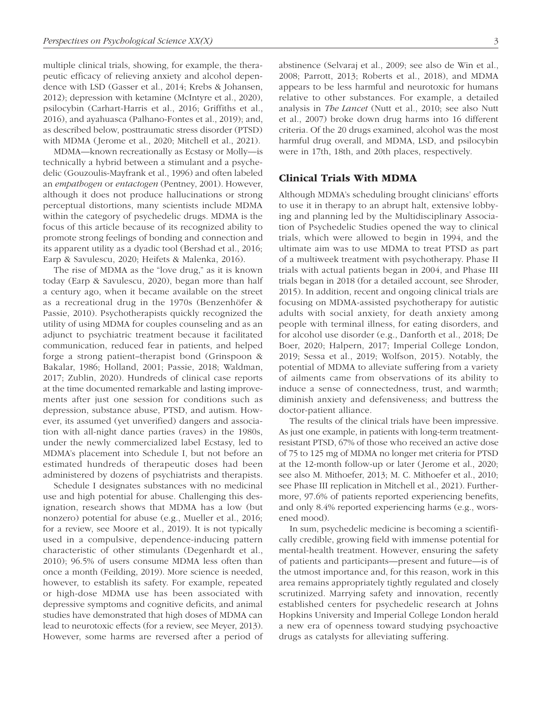multiple clinical trials, showing, for example, the therapeutic efficacy of relieving anxiety and alcohol dependence with LSD (Gasser et al., 2014; Krebs & Johansen, 2012); depression with ketamine (McIntyre et al., 2020), psilocybin (Carhart-Harris et al., 2016; Griffiths et al., 2016), and ayahuasca (Palhano-Fontes et al., 2019); and, as described below, posttraumatic stress disorder (PTSD) with MDMA (Jerome et al., 2020; Mitchell et al., 2021).

MDMA—known recreationally as Ecstasy or Molly—is technically a hybrid between a stimulant and a psychedelic (Gouzoulis-Mayfrank et al., 1996) and often labeled an *empathogen* or *entactogen* (Pentney, 2001). However, although it does not produce hallucinations or strong perceptual distortions, many scientists include MDMA within the category of psychedelic drugs. MDMA is the focus of this article because of its recognized ability to promote strong feelings of bonding and connection and its apparent utility as a dyadic tool (Bershad et al., 2016; Earp & Savulescu, 2020; Heifets & Malenka, 2016).

The rise of MDMA as the "love drug," as it is known today (Earp & Savulescu, 2020), began more than half a century ago, when it became available on the street as a recreational drug in the 1970s (Benzenhöfer & Passie, 2010). Psychotherapists quickly recognized the utility of using MDMA for couples counseling and as an adjunct to psychiatric treatment because it facilitated communication, reduced fear in patients, and helped forge a strong patient–therapist bond (Grinspoon & Bakalar, 1986; Holland, 2001; Passie, 2018; Waldman, 2017; Zublin, 2020). Hundreds of clinical case reports at the time documented remarkable and lasting improvements after just one session for conditions such as depression, substance abuse, PTSD, and autism. However, its assumed (yet unverified) dangers and association with all-night dance parties (raves) in the 1980s, under the newly commercialized label Ecstasy, led to MDMA's placement into Schedule I, but not before an estimated hundreds of therapeutic doses had been administered by dozens of psychiatrists and therapists.

Schedule I designates substances with no medicinal use and high potential for abuse. Challenging this designation, research shows that MDMA has a low (but nonzero) potential for abuse (e.g., Mueller et al., 2016; for a review, see Moore et al., 2019). It is not typically used in a compulsive, dependence-inducing pattern characteristic of other stimulants (Degenhardt et al., 2010); 96.5% of users consume MDMA less often than once a month (Feilding, 2019). More science is needed, however, to establish its safety. For example, repeated or high-dose MDMA use has been associated with depressive symptoms and cognitive deficits, and animal studies have demonstrated that high doses of MDMA can lead to neurotoxic effects (for a review, see Meyer, 2013). However, some harms are reversed after a period of abstinence (Selvaraj et al., 2009; see also de Win et al., 2008; Parrott, 2013; Roberts et al., 2018), and MDMA appears to be less harmful and neurotoxic for humans relative to other substances. For example, a detailed analysis in *The Lancet* (Nutt et al., 2010; see also Nutt et al., 2007) broke down drug harms into 16 different criteria. Of the 20 drugs examined, alcohol was the most harmful drug overall, and MDMA, LSD, and psilocybin were in 17th, 18th, and 20th places, respectively.

#### Clinical Trials With MDMA

Although MDMA's scheduling brought clinicians' efforts to use it in therapy to an abrupt halt, extensive lobbying and planning led by the Multidisciplinary Association of Psychedelic Studies opened the way to clinical trials, which were allowed to begin in 1994, and the ultimate aim was to use MDMA to treat PTSD as part of a multiweek treatment with psychotherapy. Phase II trials with actual patients began in 2004, and Phase III trials began in 2018 (for a detailed account, see Shroder, 2015). In addition, recent and ongoing clinical trials are focusing on MDMA-assisted psychotherapy for autistic adults with social anxiety, for death anxiety among people with terminal illness, for eating disorders, and for alcohol use disorder (e.g., Danforth et al., 2018; De Boer, 2020; Halpern, 2017; Imperial College London, 2019; Sessa et al., 2019; Wolfson, 2015). Notably, the potential of MDMA to alleviate suffering from a variety of ailments came from observations of its ability to induce a sense of connectedness, trust, and warmth; diminish anxiety and defensiveness; and buttress the doctor-patient alliance.

The results of the clinical trials have been impressive. As just one example, in patients with long-term treatmentresistant PTSD, 67% of those who received an active dose of 75 to 125 mg of MDMA no longer met criteria for PTSD at the 12-month follow-up or later (Jerome et al., 2020; see also M. Mithoefer, 2013; M. C. Mithoefer et al., 2010; see Phase III replication in Mitchell et al., 2021). Furthermore, 97.6% of patients reported experiencing benefits, and only 8.4% reported experiencing harms (e.g., worsened mood).

In sum, psychedelic medicine is becoming a scientifically credible, growing field with immense potential for mental-health treatment. However, ensuring the safety of patients and participants—present and future—is of the utmost importance and, for this reason, work in this area remains appropriately tightly regulated and closely scrutinized. Marrying safety and innovation, recently established centers for psychedelic research at Johns Hopkins University and Imperial College London herald a new era of openness toward studying psychoactive drugs as catalysts for alleviating suffering.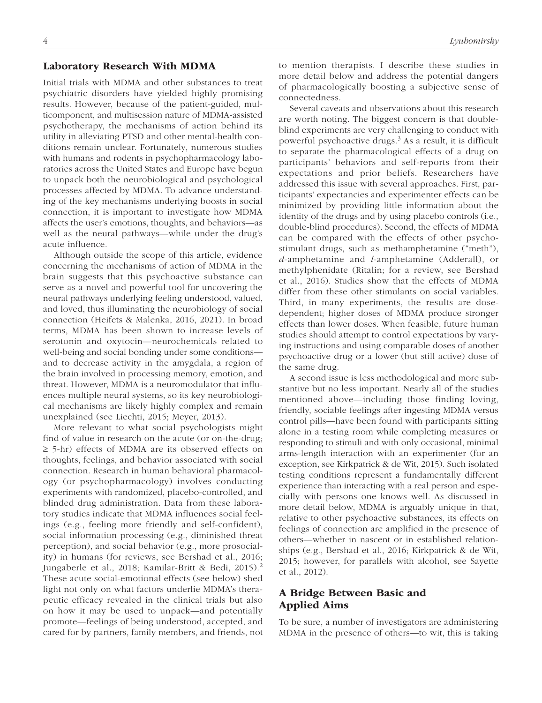#### Laboratory Research With MDMA

Initial trials with MDMA and other substances to treat psychiatric disorders have yielded highly promising results. However, because of the patient-guided, multicomponent, and multisession nature of MDMA-assisted psychotherapy, the mechanisms of action behind its utility in alleviating PTSD and other mental-health conditions remain unclear. Fortunately, numerous studies with humans and rodents in psychopharmacology laboratories across the United States and Europe have begun to unpack both the neurobiological and psychological processes affected by MDMA. To advance understanding of the key mechanisms underlying boosts in social connection, it is important to investigate how MDMA affects the user's emotions, thoughts, and behaviors—as well as the neural pathways—while under the drug's acute influence.

Although outside the scope of this article, evidence concerning the mechanisms of action of MDMA in the brain suggests that this psychoactive substance can serve as a novel and powerful tool for uncovering the neural pathways underlying feeling understood, valued, and loved, thus illuminating the neurobiology of social connection (Heifets & Malenka, 2016, 2021). In broad terms, MDMA has been shown to increase levels of serotonin and oxytocin—neurochemicals related to well-being and social bonding under some conditions and to decrease activity in the amygdala, a region of the brain involved in processing memory, emotion, and threat. However, MDMA is a neuromodulator that influences multiple neural systems, so its key neurobiological mechanisms are likely highly complex and remain unexplained (see Liechti, 2015; Meyer, 2013).

More relevant to what social psychologists might find of value in research on the acute (or on-the-drug; ≥ 5-hr) effects of MDMA are its observed effects on thoughts, feelings, and behavior associated with social connection. Research in human behavioral pharmacology (or psychopharmacology) involves conducting experiments with randomized, placebo-controlled, and blinded drug administration. Data from these laboratory studies indicate that MDMA influences social feelings (e.g., feeling more friendly and self-confident), social information processing (e.g., diminished threat perception), and social behavior (e.g., more prosociality) in humans (for reviews, see Bershad et al., 2016; Jungaberle et al., 2018; Kamilar-Britt & Bedi, 2015).2 These acute social-emotional effects (see below) shed light not only on what factors underlie MDMA's therapeutic efficacy revealed in the clinical trials but also on how it may be used to unpack—and potentially promote—feelings of being understood, accepted, and cared for by partners, family members, and friends, not to mention therapists. I describe these studies in more detail below and address the potential dangers of pharmacologically boosting a subjective sense of connectedness.

Several caveats and observations about this research are worth noting. The biggest concern is that doubleblind experiments are very challenging to conduct with powerful psychoactive drugs.<sup>3</sup> As a result, it is difficult to separate the pharmacological effects of a drug on participants' behaviors and self-reports from their expectations and prior beliefs. Researchers have addressed this issue with several approaches. First, participants' expectancies and experimenter effects can be minimized by providing little information about the identity of the drugs and by using placebo controls (i.e., double-blind procedures). Second, the effects of MDMA can be compared with the effects of other psychostimulant drugs, such as methamphetamine ("meth"), *d*-amphetamine and *l*-amphetamine (Adderall), or methylphenidate (Ritalin; for a review, see Bershad et al., 2016). Studies show that the effects of MDMA differ from these other stimulants on social variables. Third, in many experiments, the results are dosedependent; higher doses of MDMA produce stronger effects than lower doses. When feasible, future human studies should attempt to control expectations by varying instructions and using comparable doses of another psychoactive drug or a lower (but still active) dose of the same drug.

A second issue is less methodological and more substantive but no less important. Nearly all of the studies mentioned above—including those finding loving, friendly, sociable feelings after ingesting MDMA versus control pills—have been found with participants sitting alone in a testing room while completing measures or responding to stimuli and with only occasional, minimal arms-length interaction with an experimenter (for an exception, see Kirkpatrick & de Wit, 2015). Such isolated testing conditions represent a fundamentally different experience than interacting with a real person and especially with persons one knows well. As discussed in more detail below, MDMA is arguably unique in that, relative to other psychoactive substances, its effects on feelings of connection are amplified in the presence of others—whether in nascent or in established relationships (e.g., Bershad et al., 2016; Kirkpatrick & de Wit, 2015; however, for parallels with alcohol, see Sayette et al., 2012).

### A Bridge Between Basic and Applied Aims

To be sure, a number of investigators are administering MDMA in the presence of others—to wit, this is taking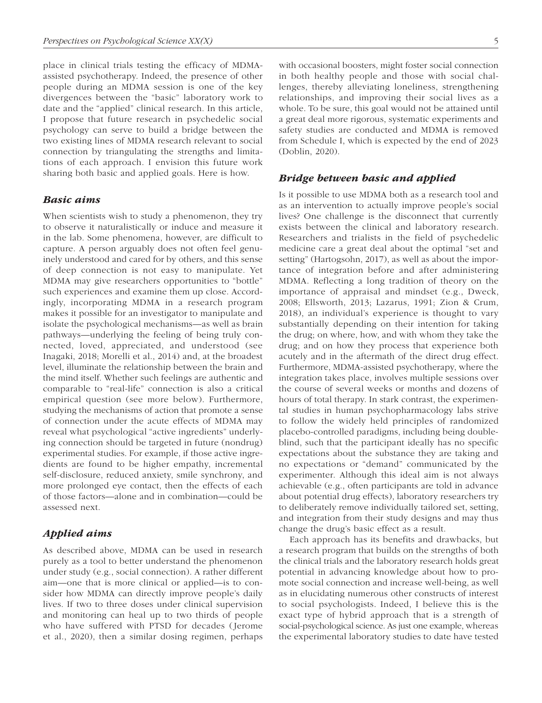place in clinical trials testing the efficacy of MDMAassisted psychotherapy. Indeed, the presence of other people during an MDMA session is one of the key divergences between the "basic" laboratory work to date and the "applied" clinical research. In this article, I propose that future research in psychedelic social psychology can serve to build a bridge between the two existing lines of MDMA research relevant to social connection by triangulating the strengths and limitations of each approach. I envision this future work sharing both basic and applied goals. Here is how.

#### *Basic aims*

When scientists wish to study a phenomenon, they try to observe it naturalistically or induce and measure it in the lab. Some phenomena, however, are difficult to capture. A person arguably does not often feel genuinely understood and cared for by others, and this sense of deep connection is not easy to manipulate. Yet MDMA may give researchers opportunities to "bottle" such experiences and examine them up close. Accordingly, incorporating MDMA in a research program makes it possible for an investigator to manipulate and isolate the psychological mechanisms—as well as brain pathways—underlying the feeling of being truly connected, loved, appreciated, and understood (see Inagaki, 2018; Morelli et al., 2014) and, at the broadest level, illuminate the relationship between the brain and the mind itself. Whether such feelings are authentic and comparable to "real-life" connection is also a critical empirical question (see more below). Furthermore, studying the mechanisms of action that promote a sense of connection under the acute effects of MDMA may reveal what psychological "active ingredients" underlying connection should be targeted in future (nondrug) experimental studies. For example, if those active ingredients are found to be higher empathy, incremental self-disclosure, reduced anxiety, smile synchrony, and more prolonged eye contact, then the effects of each of those factors—alone and in combination—could be assessed next.

### *Applied aims*

As described above, MDMA can be used in research purely as a tool to better understand the phenomenon under study (e.g., social connection). A rather different aim—one that is more clinical or applied—is to consider how MDMA can directly improve people's daily lives. If two to three doses under clinical supervision and monitoring can heal up to two thirds of people who have suffered with PTSD for decades (Jerome et al., 2020), then a similar dosing regimen, perhaps

with occasional boosters, might foster social connection in both healthy people and those with social challenges, thereby alleviating loneliness, strengthening relationships, and improving their social lives as a whole. To be sure, this goal would not be attained until a great deal more rigorous, systematic experiments and safety studies are conducted and MDMA is removed from Schedule I, which is expected by the end of 2023 (Doblin, 2020).

#### *Bridge between basic and applied*

Is it possible to use MDMA both as a research tool and as an intervention to actually improve people's social lives? One challenge is the disconnect that currently exists between the clinical and laboratory research. Researchers and trialists in the field of psychedelic medicine care a great deal about the optimal "set and setting" (Hartogsohn, 2017), as well as about the importance of integration before and after administering MDMA. Reflecting a long tradition of theory on the importance of appraisal and mindset (e.g., Dweck, 2008; Ellsworth, 2013; Lazarus, 1991; Zion & Crum, 2018), an individual's experience is thought to vary substantially depending on their intention for taking the drug; on where, how, and with whom they take the drug; and on how they process that experience both acutely and in the aftermath of the direct drug effect. Furthermore, MDMA-assisted psychotherapy, where the integration takes place, involves multiple sessions over the course of several weeks or months and dozens of hours of total therapy. In stark contrast, the experimental studies in human psychopharmacology labs strive to follow the widely held principles of randomized placebo-controlled paradigms, including being doubleblind, such that the participant ideally has no specific expectations about the substance they are taking and no expectations or "demand" communicated by the experimenter. Although this ideal aim is not always achievable (e.g., often participants are told in advance about potential drug effects), laboratory researchers try to deliberately remove individually tailored set, setting, and integration from their study designs and may thus change the drug's basic effect as a result.

Each approach has its benefits and drawbacks, but a research program that builds on the strengths of both the clinical trials and the laboratory research holds great potential in advancing knowledge about how to promote social connection and increase well-being, as well as in elucidating numerous other constructs of interest to social psychologists. Indeed, I believe this is the exact type of hybrid approach that is a strength of social-psychological science. As just one example, whereas the experimental laboratory studies to date have tested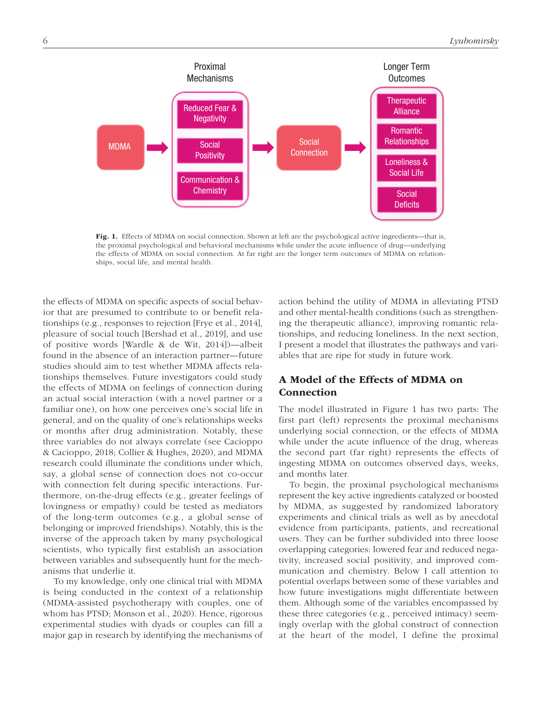

Fig. 1. Effects of MDMA on social connection. Shown at left are the psychological active ingredients—that is, the proximal psychological and behavioral mechanisms while under the acute influence of drug—underlying the effects of MDMA on social connection. At far right are the longer term outcomes of MDMA on relationships, social life, and mental health.

the effects of MDMA on specific aspects of social behavior that are presumed to contribute to or benefit relationships (e.g., responses to rejection [Frye et al., 2014], pleasure of social touch [Bershad et al., 2019], and use of positive words [Wardle & de Wit, 2014])—albeit found in the absence of an interaction partner—future studies should aim to test whether MDMA affects relationships themselves. Future investigators could study the effects of MDMA on feelings of connection during an actual social interaction (with a novel partner or a familiar one), on how one perceives one's social life in general, and on the quality of one's relationships weeks or months after drug administration. Notably, these three variables do not always correlate (see Cacioppo & Cacioppo, 2018; Collier & Hughes, 2020), and MDMA research could illuminate the conditions under which, say, a global sense of connection does not co-occur with connection felt during specific interactions. Furthermore, on-the-drug effects (e.g., greater feelings of lovingness or empathy) could be tested as mediators of the long-term outcomes (e.g., a global sense of belonging or improved friendships). Notably, this is the inverse of the approach taken by many psychological scientists, who typically first establish an association between variables and subsequently hunt for the mechanisms that underlie it.

To my knowledge, only one clinical trial with MDMA is being conducted in the context of a relationship (MDMA-assisted psychotherapy with couples, one of whom has PTSD; Monson et al., 2020). Hence, rigorous experimental studies with dyads or couples can fill a major gap in research by identifying the mechanisms of action behind the utility of MDMA in alleviating PTSD and other mental-health conditions (such as strengthening the therapeutic alliance), improving romantic relationships, and reducing loneliness. In the next section, I present a model that illustrates the pathways and variables that are ripe for study in future work.

# A Model of the Effects of MDMA on Connection

The model illustrated in Figure 1 has two parts: The first part (left) represents the proximal mechanisms underlying social connection, or the effects of MDMA while under the acute influence of the drug, whereas the second part (far right) represents the effects of ingesting MDMA on outcomes observed days, weeks, and months later.

To begin, the proximal psychological mechanisms represent the key active ingredients catalyzed or boosted by MDMA, as suggested by randomized laboratory experiments and clinical trials as well as by anecdotal evidence from participants, patients, and recreational users. They can be further subdivided into three loose overlapping categories: lowered fear and reduced negativity, increased social positivity, and improved communication and chemistry. Below I call attention to potential overlaps between some of these variables and how future investigations might differentiate between them. Although some of the variables encompassed by these three categories (e.g., perceived intimacy) seemingly overlap with the global construct of connection at the heart of the model, I define the proximal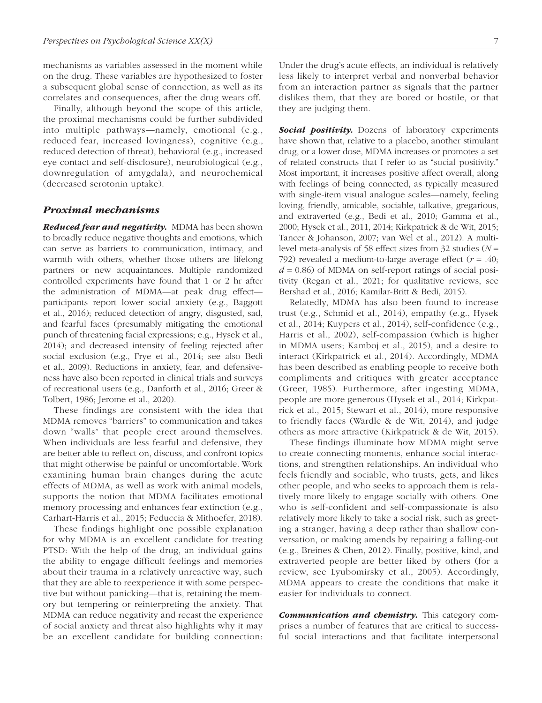mechanisms as variables assessed in the moment while on the drug. These variables are hypothesized to foster a subsequent global sense of connection, as well as its correlates and consequences, after the drug wears off.

Finally, although beyond the scope of this article, the proximal mechanisms could be further subdivided into multiple pathways—namely, emotional (e.g., reduced fear, increased lovingness), cognitive (e.g., reduced detection of threat), behavioral (e.g., increased eye contact and self-disclosure), neurobiological (e.g., downregulation of amygdala), and neurochemical (decreased serotonin uptake).

#### *Proximal mechanisms*

*Reduced fear and negativity.* MDMA has been shown to broadly reduce negative thoughts and emotions, which can serve as barriers to communication, intimacy, and warmth with others, whether those others are lifelong partners or new acquaintances. Multiple randomized controlled experiments have found that 1 or 2 hr after the administration of MDMA—at peak drug effect participants report lower social anxiety (e.g., Baggott et al., 2016); reduced detection of angry, disgusted, sad, and fearful faces (presumably mitigating the emotional punch of threatening facial expressions; e.g., Hysek et al., 2014); and decreased intensity of feeling rejected after social exclusion (e.g., Frye et al., 2014; see also Bedi et al., 2009). Reductions in anxiety, fear, and defensiveness have also been reported in clinical trials and surveys of recreational users (e.g., Danforth et al., 2016; Greer & Tolbert, 1986; Jerome et al., 2020).

These findings are consistent with the idea that MDMA removes "barriers" to communication and takes down "walls" that people erect around themselves. When individuals are less fearful and defensive, they are better able to reflect on, discuss, and confront topics that might otherwise be painful or uncomfortable. Work examining human brain changes during the acute effects of MDMA, as well as work with animal models, supports the notion that MDMA facilitates emotional memory processing and enhances fear extinction (e.g., Carhart-Harris et al., 2015; Feduccia & Mithoefer, 2018).

These findings highlight one possible explanation for why MDMA is an excellent candidate for treating PTSD: With the help of the drug, an individual gains the ability to engage difficult feelings and memories about their trauma in a relatively unreactive way, such that they are able to reexperience it with some perspective but without panicking—that is, retaining the memory but tempering or reinterpreting the anxiety. That MDMA can reduce negativity and recast the experience of social anxiety and threat also highlights why it may be an excellent candidate for building connection: Under the drug's acute effects, an individual is relatively less likely to interpret verbal and nonverbal behavior from an interaction partner as signals that the partner dislikes them, that they are bored or hostile, or that they are judging them.

**Social positivity.** Dozens of laboratory experiments have shown that, relative to a placebo, another stimulant drug, or a lower dose, MDMA increases or promotes a set of related constructs that I refer to as "social positivity." Most important, it increases positive affect overall, along with feelings of being connected, as typically measured with single-item visual analogue scales—namely, feeling loving, friendly, amicable, sociable, talkative, gregarious, and extraverted (e.g., Bedi et al., 2010; Gamma et al., 2000; Hysek et al., 2011, 2014; Kirkpatrick & de Wit, 2015; Tancer & Johanson, 2007; van Wel et al., 2012). A multilevel meta-analysis of 58 effect sizes from 32 studies (*N* = 792) revealed a medium-to-large average effect (*r* = .40;  $d = 0.86$ ) of MDMA on self-report ratings of social positivity (Regan et al., 2021; for qualitative reviews, see Bershad et al., 2016; Kamilar-Britt & Bedi, 2015).

Relatedly, MDMA has also been found to increase trust (e.g., Schmid et al., 2014), empathy (e.g., Hysek et al., 2014; Kuypers et al., 2014), self-confidence (e.g., Harris et al., 2002), self-compassion (which is higher in MDMA users; Kamboj et al., 2015), and a desire to interact (Kirkpatrick et al., 2014). Accordingly, MDMA has been described as enabling people to receive both compliments and critiques with greater acceptance (Greer, 1985). Furthermore, after ingesting MDMA, people are more generous (Hysek et al., 2014; Kirkpatrick et al., 2015; Stewart et al., 2014), more responsive to friendly faces (Wardle & de Wit, 2014), and judge others as more attractive (Kirkpatrick & de Wit, 2015).

These findings illuminate how MDMA might serve to create connecting moments, enhance social interactions, and strengthen relationships. An individual who feels friendly and sociable, who trusts, gets, and likes other people, and who seeks to approach them is relatively more likely to engage socially with others. One who is self-confident and self-compassionate is also relatively more likely to take a social risk, such as greeting a stranger, having a deep rather than shallow conversation, or making amends by repairing a falling-out (e.g., Breines & Chen, 2012). Finally, positive, kind, and extraverted people are better liked by others (for a review, see Lyubomirsky et al., 2005). Accordingly, MDMA appears to create the conditions that make it easier for individuals to connect.

*Communication and chemistry.* This category comprises a number of features that are critical to successful social interactions and that facilitate interpersonal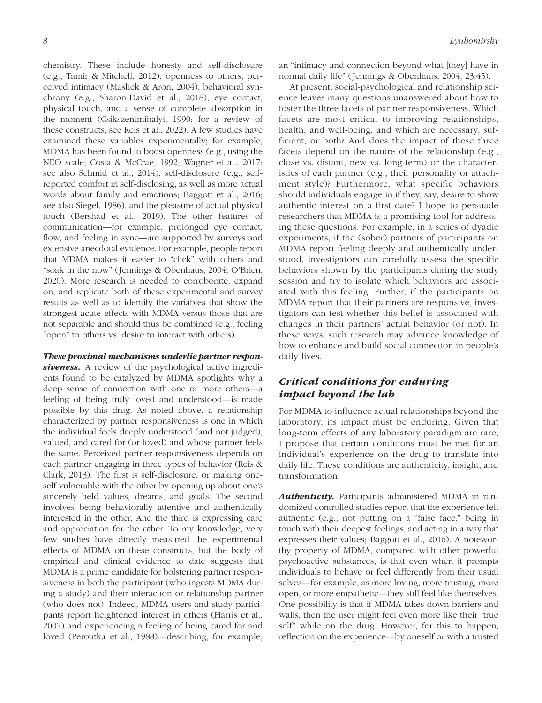chemistry. These include honesty and self-disclosure (e.g., Tamir & Mitchell, 2012), openness to others, perceived intimacy (Mashek & Aron, 2004), behavioral synchrony (e.g., Sharon-David et al., 2018), eye contact, physical touch, and a sense of complete absorption in the moment (Csikszentmihalyi, 1990; for a review of these constructs, see Reis et al., 2022). A few studies have examined these variables experimentally; for example, MDMA has been found to boost openness (e.g., using the NEO scale; Costa & McCrae, 1992; Wagner et al., 2017; see also Schmid et al., 2014), self-disclosure (e.g., selfreported comfort in self-disclosing, as well as more actual words about family and emotions; Baggott et al., 2016; see also Siegel, 1986), and the pleasure of actual physical touch (Bershad et al., 2019). The other features of communication—for example, prolonged eye contact, flow, and feeling in sync—are supported by surveys and extensive anecdotal evidence. For example, people report that MDMA makes it easier to "click" with others and "soak in the now" (Jennings & Obenhaus, 2004; O'Brien, 2020). More research is needed to corroborate, expand on, and replicate both of these experimental and survey results as well as to identify the variables that show the strongest acute effects with MDMA versus those that are not separable and should thus be combined (e.g., feeling "open" to others vs. desire to interact with others).

# *These proximal mechanisms underlie partner respon-*

**siveness.** A review of the psychological active ingredients found to be catalyzed by MDMA spotlights why a deep sense of connection with one or more others—a feeling of being truly loved and understood—is made possible by this drug. As noted above, a relationship characterized by partner responsiveness is one in which the individual feels deeply understood (and not judged), valued, and cared for (or loved) and whose partner feels the same. Perceived partner responsiveness depends on each partner engaging in three types of behavior (Reis & Clark, 2013). The first is self-disclosure, or making oneself vulnerable with the other by opening up about one's sincerely held values, dreams, and goals. The second involves being behaviorally attentive and authentically interested in the other. And the third is expressing care and appreciation for the other. To my knowledge, very few studies have directly measured the experimental effects of MDMA on these constructs, but the body of empirical and clinical evidence to date suggests that MDMA is a prime candidate for bolstering partner responsiveness in both the participant (who ingests MDMA during a study) and their interaction or relationship partner (who does not). Indeed, MDMA users and study participants report heightened interest in others (Harris et al., 2002) and experiencing a feeling of being cared for and loved (Peroutka et al., 1988)—describing, for example,

an "intimacy and connection beyond what [they] have in normal daily life" (Jennings & Obenhaus, 2004, 23:45).

At present, social-psychological and relationship science leaves many questions unanswered about how to foster the three facets of partner responsiveness. Which facets are most critical to improving relationships, health, and well-being, and which are necessary, sufficient, or both? And does the impact of these three facets depend on the nature of the relationship (e.g., close vs. distant, new vs. long-term) or the characteristics of each partner (e.g., their personality or attachment style)? Furthermore, what specific behaviors should individuals engage in if they, say, desire to show authentic interest on a first date? I hope to persuade researchers that MDMA is a promising tool for addressing these questions. For example, in a series of dyadic experiments, if the (sober) partners of participants on MDMA report feeling deeply and authentically understood, investigators can carefully assess the specific behaviors shown by the participants during the study session and try to isolate which behaviors are associated with this feeling. Further, if the participants on MDMA report that their partners are responsive, investigators can test whether this belief is associated with changes in their partners' actual behavior (or not). In these ways, such research may advance knowledge of how to enhance and build social connection in people's daily lives.

### *Critical conditions for enduring impact beyond the lab*

For MDMA to influence actual relationships beyond the laboratory, its impact must be enduring. Given that long-term effects of any laboratory paradigm are rare, I propose that certain conditions must be met for an individual's experience on the drug to translate into daily life. These conditions are authenticity, insight, and transformation.

*Authenticity.* Participants administered MDMA in randomized controlled studies report that the experience felt authentic (e.g., not putting on a "false face," being in touch with their deepest feelings, and acting in a way that expresses their values; Baggott et al., 2016). A noteworthy property of MDMA, compared with other powerful psychoactive substances, is that even when it prompts individuals to behave or feel differently from their usual selves—for example, as more loving, more trusting, more open, or more empathetic—they still feel like themselves. One possibility is that if MDMA takes down barriers and walls, then the user might feel even more like their "true self" while on the drug. However, for this to happen, reflection on the experience—by oneself or with a trusted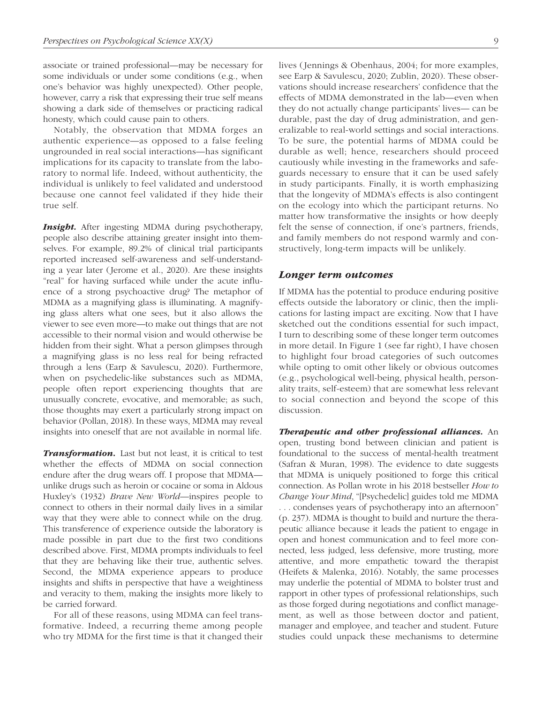associate or trained professional—may be necessary for some individuals or under some conditions (e.g., when one's behavior was highly unexpected). Other people, however, carry a risk that expressing their true self means showing a dark side of themselves or practicing radical honesty, which could cause pain to others.

Notably, the observation that MDMA forges an authentic experience—as opposed to a false feeling ungrounded in real social interactions—has significant implications for its capacity to translate from the laboratory to normal life. Indeed, without authenticity, the individual is unlikely to feel validated and understood because one cannot feel validated if they hide their true self.

**Insight.** After ingesting MDMA during psychotherapy, people also describe attaining greater insight into themselves. For example, 89.2% of clinical trial participants reported increased self-awareness and self-understanding a year later (Jerome et al., 2020). Are these insights "real" for having surfaced while under the acute influence of a strong psychoactive drug? The metaphor of MDMA as a magnifying glass is illuminating. A magnifying glass alters what one sees, but it also allows the viewer to see even more—to make out things that are not accessible to their normal vision and would otherwise be hidden from their sight. What a person glimpses through a magnifying glass is no less real for being refracted through a lens (Earp & Savulescu, 2020). Furthermore, when on psychedelic-like substances such as MDMA, people often report experiencing thoughts that are unusually concrete, evocative, and memorable; as such, those thoughts may exert a particularly strong impact on behavior (Pollan, 2018). In these ways, MDMA may reveal insights into oneself that are not available in normal life.

*Transformation.* Last but not least, it is critical to test whether the effects of MDMA on social connection endure after the drug wears off. I propose that MDMA unlike drugs such as heroin or cocaine or soma in Aldous Huxley's (1932) *Brave New World*—inspires people to connect to others in their normal daily lives in a similar way that they were able to connect while on the drug. This transference of experience outside the laboratory is made possible in part due to the first two conditions described above. First, MDMA prompts individuals to feel that they are behaving like their true, authentic selves. Second, the MDMA experience appears to produce insights and shifts in perspective that have a weightiness and veracity to them, making the insights more likely to be carried forward.

For all of these reasons, using MDMA can feel transformative. Indeed, a recurring theme among people who try MDMA for the first time is that it changed their lives (Jennings & Obenhaus, 2004; for more examples, see Earp & Savulescu, 2020; Zublin, 2020). These observations should increase researchers' confidence that the effects of MDMA demonstrated in the lab—even when they do not actually change participants' lives— can be durable, past the day of drug administration, and generalizable to real-world settings and social interactions. To be sure, the potential harms of MDMA could be durable as well; hence, researchers should proceed cautiously while investing in the frameworks and safeguards necessary to ensure that it can be used safely in study participants. Finally, it is worth emphasizing that the longevity of MDMA's effects is also contingent on the ecology into which the participant returns. No matter how transformative the insights or how deeply felt the sense of connection, if one's partners, friends, and family members do not respond warmly and constructively, long-term impacts will be unlikely.

#### *Longer term outcomes*

If MDMA has the potential to produce enduring positive effects outside the laboratory or clinic, then the implications for lasting impact are exciting. Now that I have sketched out the conditions essential for such impact, I turn to describing some of these longer term outcomes in more detail. In Figure 1 (see far right), I have chosen to highlight four broad categories of such outcomes while opting to omit other likely or obvious outcomes (e.g., psychological well-being, physical health, personality traits, self-esteem) that are somewhat less relevant to social connection and beyond the scope of this discussion.

*Therapeutic and other professional alliances.* An open, trusting bond between clinician and patient is foundational to the success of mental-health treatment (Safran & Muran, 1998). The evidence to date suggests that MDMA is uniquely positioned to forge this critical connection. As Pollan wrote in his 2018 bestseller *How to Change Your Mind*, "[Psychedelic] guides told me MDMA . . . condenses years of psychotherapy into an afternoon" (p. 237). MDMA is thought to build and nurture the therapeutic alliance because it leads the patient to engage in open and honest communication and to feel more connected, less judged, less defensive, more trusting, more attentive, and more empathetic toward the therapist (Heifets & Malenka, 2016). Notably, the same processes may underlie the potential of MDMA to bolster trust and rapport in other types of professional relationships, such as those forged during negotiations and conflict management, as well as those between doctor and patient, manager and employee, and teacher and student. Future studies could unpack these mechanisms to determine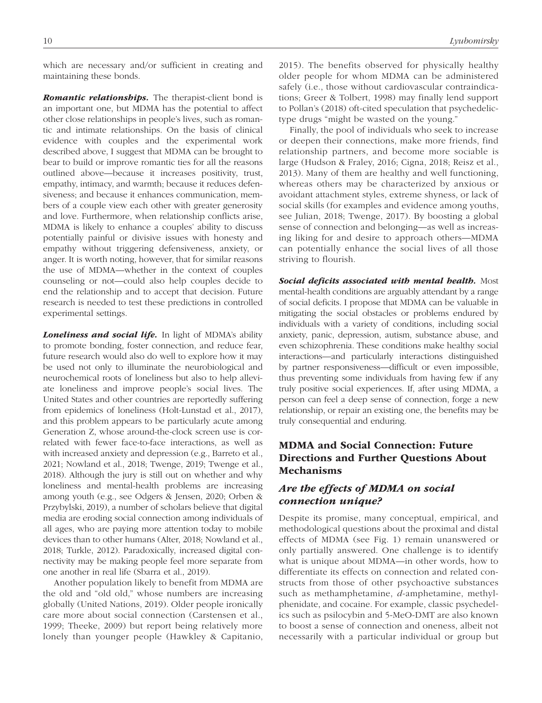which are necessary and/or sufficient in creating and maintaining these bonds.

*Romantic relationships.* The therapist-client bond is an important one, but MDMA has the potential to affect other close relationships in people's lives, such as romantic and intimate relationships. On the basis of clinical evidence with couples and the experimental work described above, I suggest that MDMA can be brought to bear to build or improve romantic ties for all the reasons outlined above—because it increases positivity, trust, empathy, intimacy, and warmth; because it reduces defensiveness; and because it enhances communication, members of a couple view each other with greater generosity and love. Furthermore, when relationship conflicts arise, MDMA is likely to enhance a couples' ability to discuss potentially painful or divisive issues with honesty and empathy without triggering defensiveness, anxiety, or anger. It is worth noting, however, that for similar reasons the use of MDMA—whether in the context of couples counseling or not—could also help couples decide to end the relationship and to accept that decision. Future research is needed to test these predictions in controlled experimental settings.

*Loneliness and social life.* In light of MDMA's ability to promote bonding, foster connection, and reduce fear, future research would also do well to explore how it may be used not only to illuminate the neurobiological and neurochemical roots of loneliness but also to help alleviate loneliness and improve people's social lives. The United States and other countries are reportedly suffering from epidemics of loneliness (Holt-Lunstad et al., 2017), and this problem appears to be particularly acute among Generation Z, whose around-the-clock screen use is correlated with fewer face-to-face interactions, as well as with increased anxiety and depression (e.g., Barreto et al., 2021; Nowland et al., 2018; Twenge, 2019; Twenge et al., 2018). Although the jury is still out on whether and why loneliness and mental-health problems are increasing among youth (e.g., see Odgers & Jensen, 2020; Orben & Przybylski, 2019), a number of scholars believe that digital media are eroding social connection among individuals of all ages, who are paying more attention today to mobile devices than to other humans (Alter, 2018; Nowland et al., 2018; Turkle, 2012). Paradoxically, increased digital connectivity may be making people feel more separate from one another in real life (Sbarra et al., 2019).

Another population likely to benefit from MDMA are the old and "old old," whose numbers are increasing globally (United Nations, 2019). Older people ironically care more about social connection (Carstensen et al., 1999; Theeke, 2009) but report being relatively more lonely than younger people (Hawkley & Capitanio, 2015). The benefits observed for physically healthy older people for whom MDMA can be administered safely (i.e., those without cardiovascular contraindications; Greer & Tolbert, 1998) may finally lend support to Pollan's (2018) oft-cited speculation that psychedelictype drugs "might be wasted on the young."

Finally, the pool of individuals who seek to increase or deepen their connections, make more friends, find relationship partners, and become more sociable is large (Hudson & Fraley, 2016; Cigna, 2018; Reisz et al., 2013). Many of them are healthy and well functioning, whereas others may be characterized by anxious or avoidant attachment styles, extreme shyness, or lack of social skills (for examples and evidence among youths, see Julian, 2018; Twenge, 2017). By boosting a global sense of connection and belonging—as well as increasing liking for and desire to approach others—MDMA can potentially enhance the social lives of all those striving to flourish.

*Social deficits associated with mental health.* Most mental-health conditions are arguably attendant by a range of social deficits. I propose that MDMA can be valuable in mitigating the social obstacles or problems endured by individuals with a variety of conditions, including social anxiety, panic, depression, autism, substance abuse, and even schizophrenia. These conditions make healthy social interactions—and particularly interactions distinguished by partner responsiveness—difficult or even impossible, thus preventing some individuals from having few if any truly positive social experiences. If, after using MDMA, a person can feel a deep sense of connection, forge a new relationship, or repair an existing one, the benefits may be truly consequential and enduring.

### MDMA and Social Connection: Future Directions and Further Questions About Mechanisms

# *Are the effects of MDMA on social connection unique?*

Despite its promise, many conceptual, empirical, and methodological questions about the proximal and distal effects of MDMA (see Fig. 1) remain unanswered or only partially answered. One challenge is to identify what is unique about MDMA—in other words, how to differentiate its effects on connection and related constructs from those of other psychoactive substances such as methamphetamine, *d*-amphetamine, methylphenidate, and cocaine. For example, classic psychedelics such as psilocybin and 5-MeO-DMT are also known to boost a sense of connection and oneness, albeit not necessarily with a particular individual or group but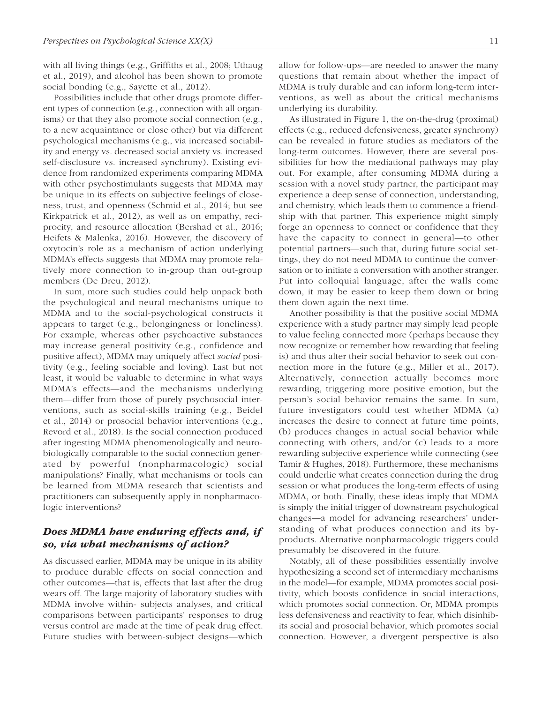with all living things (e.g., Griffiths et al., 2008; Uthaug et al., 2019), and alcohol has been shown to promote social bonding (e.g., Sayette et al., 2012).

Possibilities include that other drugs promote different types of connection (e.g., connection with all organisms) or that they also promote social connection (e.g., to a new acquaintance or close other) but via different psychological mechanisms (e.g., via increased sociability and energy vs. decreased social anxiety vs. increased self-disclosure vs. increased synchrony). Existing evidence from randomized experiments comparing MDMA with other psychostimulants suggests that MDMA may be unique in its effects on subjective feelings of closeness, trust, and openness (Schmid et al., 2014; but see Kirkpatrick et al., 2012), as well as on empathy, reciprocity, and resource allocation (Bershad et al., 2016; Heifets & Malenka, 2016). However, the discovery of oxytocin's role as a mechanism of action underlying MDMA's effects suggests that MDMA may promote relatively more connection to in-group than out-group members (De Dreu, 2012).

In sum, more such studies could help unpack both the psychological and neural mechanisms unique to MDMA and to the social-psychological constructs it appears to target (e.g., belongingness or loneliness). For example, whereas other psychoactive substances may increase general positivity (e.g., confidence and positive affect), MDMA may uniquely affect *social* positivity (e.g., feeling sociable and loving). Last but not least, it would be valuable to determine in what ways MDMA's effects—and the mechanisms underlying them—differ from those of purely psychosocial interventions, such as social-skills training (e.g., Beidel et al., 2014) or prosocial behavior interventions (e.g., Revord et al., 2018). Is the social connection produced after ingesting MDMA phenomenologically and neurobiologically comparable to the social connection generated by powerful (nonpharmacologic) social manipulations? Finally, what mechanisms or tools can be learned from MDMA research that scientists and practitioners can subsequently apply in nonpharmacologic interventions?

### *Does MDMA have enduring effects and, if so, via what mechanisms of action?*

As discussed earlier, MDMA may be unique in its ability to produce durable effects on social connection and other outcomes—that is, effects that last after the drug wears off. The large majority of laboratory studies with MDMA involve within- subjects analyses, and critical comparisons between participants' responses to drug versus control are made at the time of peak drug effect. Future studies with between-subject designs—which allow for follow-ups—are needed to answer the many questions that remain about whether the impact of MDMA is truly durable and can inform long-term interventions, as well as about the critical mechanisms underlying its durability.

As illustrated in Figure 1, the on-the-drug (proximal) effects (e.g., reduced defensiveness, greater synchrony) can be revealed in future studies as mediators of the long-term outcomes. However, there are several possibilities for how the mediational pathways may play out. For example, after consuming MDMA during a session with a novel study partner, the participant may experience a deep sense of connection, understanding, and chemistry, which leads them to commence a friendship with that partner. This experience might simply forge an openness to connect or confidence that they have the capacity to connect in general—to other potential partners—such that, during future social settings, they do not need MDMA to continue the conversation or to initiate a conversation with another stranger. Put into colloquial language, after the walls come down, it may be easier to keep them down or bring them down again the next time.

Another possibility is that the positive social MDMA experience with a study partner may simply lead people to value feeling connected more (perhaps because they now recognize or remember how rewarding that feeling is) and thus alter their social behavior to seek out connection more in the future (e.g., Miller et al., 2017). Alternatively, connection actually becomes more rewarding, triggering more positive emotion, but the person's social behavior remains the same. In sum, future investigators could test whether MDMA (a) increases the desire to connect at future time points, (b) produces changes in actual social behavior while connecting with others, and/or (c) leads to a more rewarding subjective experience while connecting (see Tamir & Hughes, 2018). Furthermore, these mechanisms could underlie what creates connection during the drug session or what produces the long-term effects of using MDMA, or both. Finally, these ideas imply that MDMA is simply the initial trigger of downstream psychological changes—a model for advancing researchers' understanding of what produces connection and its byproducts. Alternative nonpharmacologic triggers could presumably be discovered in the future.

Notably, all of these possibilities essentially involve hypothesizing a second set of intermediary mechanisms in the model—for example, MDMA promotes social positivity, which boosts confidence in social interactions, which promotes social connection. Or, MDMA prompts less defensiveness and reactivity to fear, which disinhibits social and prosocial behavior, which promotes social connection. However, a divergent perspective is also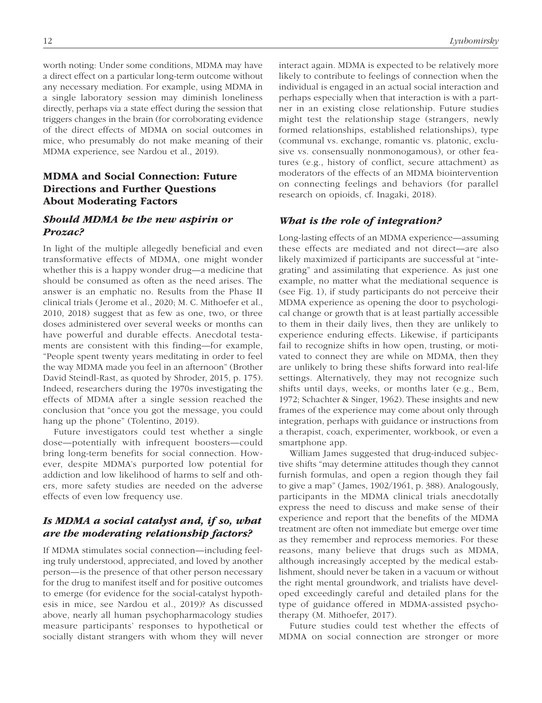worth noting: Under some conditions, MDMA may have a direct effect on a particular long-term outcome without any necessary mediation. For example, using MDMA in a single laboratory session may diminish loneliness directly, perhaps via a state effect during the session that triggers changes in the brain (for corroborating evidence of the direct effects of MDMA on social outcomes in mice, who presumably do not make meaning of their MDMA experience, see Nardou et al., 2019).

# MDMA and Social Connection: Future Directions and Further Questions About Moderating Factors

### *Should MDMA be the new aspirin or Prozac?*

In light of the multiple allegedly beneficial and even transformative effects of MDMA, one might wonder whether this is a happy wonder drug—a medicine that should be consumed as often as the need arises. The answer is an emphatic no. Results from the Phase II clinical trials (Jerome et al., 2020; M. C. Mithoefer et al., 2010, 2018) suggest that as few as one, two, or three doses administered over several weeks or months can have powerful and durable effects. Anecdotal testaments are consistent with this finding—for example, "People spent twenty years meditating in order to feel the way MDMA made you feel in an afternoon" (Brother David Steindl-Rast, as quoted by Shroder, 2015, p. 175). Indeed, researchers during the 1970s investigating the effects of MDMA after a single session reached the conclusion that "once you got the message, you could hang up the phone" (Tolentino, 2019).

Future investigators could test whether a single dose—potentially with infrequent boosters—could bring long-term benefits for social connection. However, despite MDMA's purported low potential for addiction and low likelihood of harms to self and others, more safety studies are needed on the adverse effects of even low frequency use.

### *Is MDMA a social catalyst and, if so, what are the moderating relationship factors?*

If MDMA stimulates social connection—including feeling truly understood, appreciated, and loved by another person—is the presence of that other person necessary for the drug to manifest itself and for positive outcomes to emerge (for evidence for the social-catalyst hypothesis in mice, see Nardou et al., 2019)? As discussed above, nearly all human psychopharmacology studies measure participants' responses to hypothetical or socially distant strangers with whom they will never

interact again. MDMA is expected to be relatively more likely to contribute to feelings of connection when the individual is engaged in an actual social interaction and perhaps especially when that interaction is with a partner in an existing close relationship. Future studies might test the relationship stage (strangers, newly formed relationships, established relationships), type (communal vs. exchange, romantic vs. platonic, exclusive vs. consensually nonmonogamous), or other features (e.g., history of conflict, secure attachment) as moderators of the effects of an MDMA biointervention on connecting feelings and behaviors (for parallel research on opioids, cf. Inagaki, 2018).

### *What is the role of integration?*

Long-lasting effects of an MDMA experience—assuming these effects are mediated and not direct—are also likely maximized if participants are successful at "integrating" and assimilating that experience. As just one example, no matter what the mediational sequence is (see Fig. 1), if study participants do not perceive their MDMA experience as opening the door to psychological change or growth that is at least partially accessible to them in their daily lives, then they are unlikely to experience enduring effects. Likewise, if participants fail to recognize shifts in how open, trusting, or motivated to connect they are while on MDMA, then they are unlikely to bring these shifts forward into real-life settings. Alternatively, they may not recognize such shifts until days, weeks, or months later (e.g., Bem, 1972; Schachter & Singer, 1962). These insights and new frames of the experience may come about only through integration, perhaps with guidance or instructions from a therapist, coach, experimenter, workbook, or even a smartphone app.

William James suggested that drug-induced subjective shifts "may determine attitudes though they cannot furnish formulas, and open a region though they fail to give a map" (James, 1902/1961, p. 388). Analogously, participants in the MDMA clinical trials anecdotally express the need to discuss and make sense of their experience and report that the benefits of the MDMA treatment are often not immediate but emerge over time as they remember and reprocess memories. For these reasons, many believe that drugs such as MDMA, although increasingly accepted by the medical establishment, should never be taken in a vacuum or without the right mental groundwork, and trialists have developed exceedingly careful and detailed plans for the type of guidance offered in MDMA-assisted psychotherapy (M. Mithoefer, 2017).

Future studies could test whether the effects of MDMA on social connection are stronger or more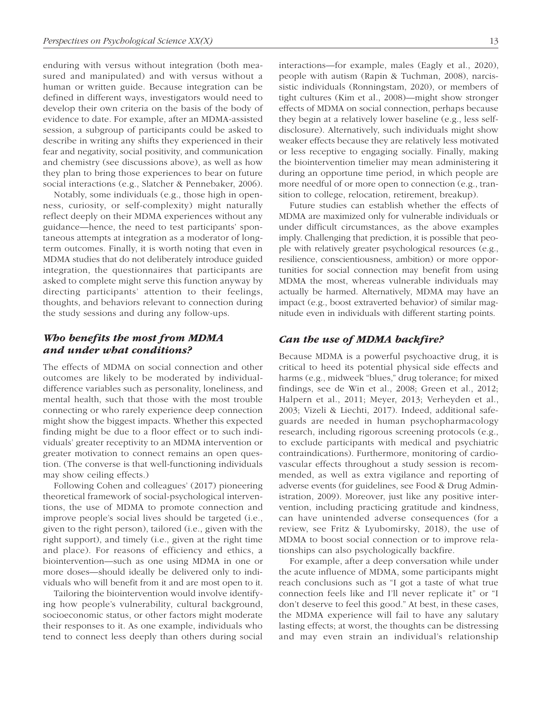enduring with versus without integration (both measured and manipulated) and with versus without a human or written guide. Because integration can be defined in different ways, investigators would need to develop their own criteria on the basis of the body of evidence to date. For example, after an MDMA-assisted session, a subgroup of participants could be asked to describe in writing any shifts they experienced in their fear and negativity, social positivity, and communication and chemistry (see discussions above), as well as how they plan to bring those experiences to bear on future social interactions (e.g., Slatcher & Pennebaker, 2006).

Notably, some individuals (e.g., those high in openness, curiosity, or self-complexity) might naturally reflect deeply on their MDMA experiences without any guidance—hence, the need to test participants' spontaneous attempts at integration as a moderator of longterm outcomes. Finally, it is worth noting that even in MDMA studies that do not deliberately introduce guided integration, the questionnaires that participants are asked to complete might serve this function anyway by directing participants' attention to their feelings, thoughts, and behaviors relevant to connection during the study sessions and during any follow-ups.

### *Who benefits the most from MDMA and under what conditions?*

The effects of MDMA on social connection and other outcomes are likely to be moderated by individualdifference variables such as personality, loneliness, and mental health, such that those with the most trouble connecting or who rarely experience deep connection might show the biggest impacts. Whether this expected finding might be due to a floor effect or to such individuals' greater receptivity to an MDMA intervention or greater motivation to connect remains an open question. (The converse is that well-functioning individuals may show ceiling effects.)

Following Cohen and colleagues' (2017) pioneering theoretical framework of social-psychological interventions, the use of MDMA to promote connection and improve people's social lives should be targeted (i.e., given to the right person), tailored (i.e., given with the right support), and timely (i.e., given at the right time and place). For reasons of efficiency and ethics, a biointervention—such as one using MDMA in one or more doses—should ideally be delivered only to individuals who will benefit from it and are most open to it.

Tailoring the biointervention would involve identifying how people's vulnerability, cultural background, socioeconomic status, or other factors might moderate their responses to it. As one example, individuals who tend to connect less deeply than others during social interactions—for example, males (Eagly et al., 2020), people with autism (Rapin & Tuchman, 2008), narcissistic individuals (Ronningstam, 2020), or members of tight cultures (Kim et al., 2008)—might show stronger effects of MDMA on social connection, perhaps because they begin at a relatively lower baseline (e.g., less selfdisclosure). Alternatively, such individuals might show weaker effects because they are relatively less motivated or less receptive to engaging socially. Finally, making the biointervention timelier may mean administering it during an opportune time period, in which people are more needful of or more open to connection (e.g., transition to college, relocation, retirement, breakup).

Future studies can establish whether the effects of MDMA are maximized only for vulnerable individuals or under difficult circumstances, as the above examples imply. Challenging that prediction, it is possible that people with relatively greater psychological resources (e.g., resilience, conscientiousness, ambition) or more opportunities for social connection may benefit from using MDMA the most, whereas vulnerable individuals may actually be harmed. Alternatively, MDMA may have an impact (e.g., boost extraverted behavior) of similar magnitude even in individuals with different starting points.

#### *Can the use of MDMA backfire?*

Because MDMA is a powerful psychoactive drug, it is critical to heed its potential physical side effects and harms (e.g., midweek "blues," drug tolerance; for mixed findings, see de Win et al., 2008; Green et al., 2012; Halpern et al., 2011; Meyer, 2013; Verheyden et al., 2003; Vizeli & Liechti, 2017). Indeed, additional safeguards are needed in human psychopharmacology research, including rigorous screening protocols (e.g., to exclude participants with medical and psychiatric contraindications). Furthermore, monitoring of cardiovascular effects throughout a study session is recommended, as well as extra vigilance and reporting of adverse events (for guidelines, see Food & Drug Administration, 2009). Moreover, just like any positive intervention, including practicing gratitude and kindness, can have unintended adverse consequences (for a review, see Fritz & Lyubomirsky, 2018), the use of MDMA to boost social connection or to improve relationships can also psychologically backfire.

For example, after a deep conversation while under the acute influence of MDMA, some participants might reach conclusions such as "I got a taste of what true connection feels like and I'll never replicate it" or "I don't deserve to feel this good." At best, in these cases, the MDMA experience will fail to have any salutary lasting effects; at worst, the thoughts can be distressing and may even strain an individual's relationship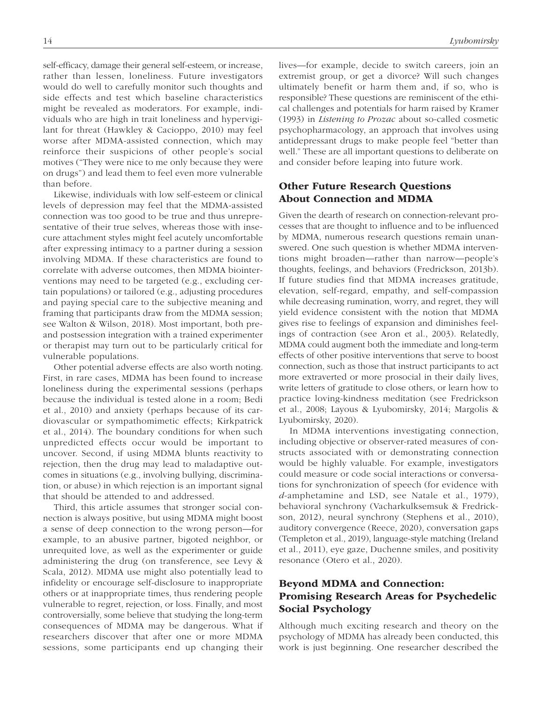self-efficacy, damage their general self-esteem, or increase, rather than lessen, loneliness. Future investigators would do well to carefully monitor such thoughts and side effects and test which baseline characteristics might be revealed as moderators. For example, individuals who are high in trait loneliness and hypervigilant for threat (Hawkley & Cacioppo, 2010) may feel worse after MDMA-assisted connection, which may reinforce their suspicions of other people's social motives ("They were nice to me only because they were on drugs") and lead them to feel even more vulnerable than before.

Likewise, individuals with low self-esteem or clinical levels of depression may feel that the MDMA-assisted connection was too good to be true and thus unrepresentative of their true selves, whereas those with insecure attachment styles might feel acutely uncomfortable after expressing intimacy to a partner during a session involving MDMA. If these characteristics are found to correlate with adverse outcomes, then MDMA biointerventions may need to be targeted (e.g., excluding certain populations) or tailored (e.g., adjusting procedures and paying special care to the subjective meaning and framing that participants draw from the MDMA session; see Walton & Wilson, 2018). Most important, both preand postsession integration with a trained experimenter or therapist may turn out to be particularly critical for vulnerable populations.

Other potential adverse effects are also worth noting. First, in rare cases, MDMA has been found to increase loneliness during the experimental sessions (perhaps because the individual is tested alone in a room; Bedi et al., 2010) and anxiety (perhaps because of its cardiovascular or sympathomimetic effects; Kirkpatrick et al., 2014). The boundary conditions for when such unpredicted effects occur would be important to uncover. Second, if using MDMA blunts reactivity to rejection, then the drug may lead to maladaptive outcomes in situations (e.g., involving bullying, discrimination, or abuse) in which rejection is an important signal that should be attended to and addressed.

Third, this article assumes that stronger social connection is always positive, but using MDMA might boost a sense of deep connection to the wrong person—for example, to an abusive partner, bigoted neighbor, or unrequited love, as well as the experimenter or guide administering the drug (on transference, see Levy & Scala, 2012). MDMA use might also potentially lead to infidelity or encourage self-disclosure to inappropriate others or at inappropriate times, thus rendering people vulnerable to regret, rejection, or loss. Finally, and most controversially, some believe that studying the long-term consequences of MDMA may be dangerous. What if researchers discover that after one or more MDMA sessions, some participants end up changing their lives—for example, decide to switch careers, join an

extremist group, or get a divorce? Will such changes ultimately benefit or harm them and, if so, who is responsible? These questions are reminiscent of the ethical challenges and potentials for harm raised by Kramer (1993) in *Listening to Prozac* about so-called cosmetic psychopharmacology, an approach that involves using antidepressant drugs to make people feel "better than well." These are all important questions to deliberate on and consider before leaping into future work.

### Other Future Research Questions About Connection and MDMA

Given the dearth of research on connection-relevant processes that are thought to influence and to be influenced by MDMA, numerous research questions remain unanswered. One such question is whether MDMA interventions might broaden—rather than narrow—people's thoughts, feelings, and behaviors (Fredrickson, 2013b). If future studies find that MDMA increases gratitude, elevation, self-regard, empathy, and self-compassion while decreasing rumination, worry, and regret, they will yield evidence consistent with the notion that MDMA gives rise to feelings of expansion and diminishes feelings of contraction (see Aron et al., 2003). Relatedly, MDMA could augment both the immediate and long-term effects of other positive interventions that serve to boost connection, such as those that instruct participants to act more extraverted or more prosocial in their daily lives, write letters of gratitude to close others, or learn how to practice loving-kindness meditation (see Fredrickson et al., 2008; Layous & Lyubomirsky, 2014; Margolis & Lyubomirsky, 2020).

In MDMA interventions investigating connection, including objective or observer-rated measures of constructs associated with or demonstrating connection would be highly valuable. For example, investigators could measure or code social interactions or conversations for synchronization of speech (for evidence with *d*-amphetamine and LSD, see Natale et al., 1979), behavioral synchrony (Vacharkulksemsuk & Fredrickson, 2012), neural synchrony (Stephens et al., 2010), auditory convergence (Reece, 2020), conversation gaps (Templeton et al., 2019), language-style matching (Ireland et al., 2011), eye gaze, Duchenne smiles, and positivity resonance (Otero et al., 2020).

### Beyond MDMA and Connection: Promising Research Areas for Psychedelic Social Psychology

Although much exciting research and theory on the psychology of MDMA has already been conducted, this work is just beginning. One researcher described the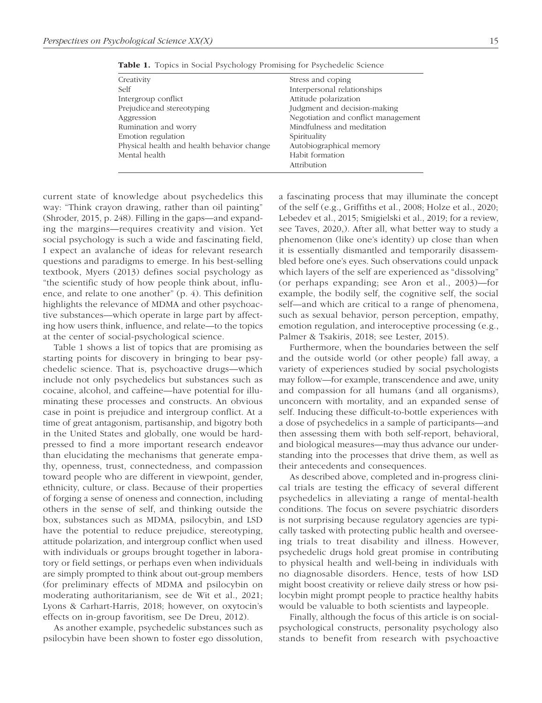| Creativity                                 | Stress and coping                   |
|--------------------------------------------|-------------------------------------|
| Self                                       | Interpersonal relationships         |
| Intergroup conflict                        | Attitude polarization               |
| Prejudice and stereotyping                 | Judgment and decision-making        |
| Aggression                                 | Negotiation and conflict management |
| Rumination and worry                       | Mindfulness and meditation          |
| Emotion regulation                         | Spirituality                        |
| Physical health and health behavior change | Autobiographical memory             |
| Mental health                              | Habit formation                     |
|                                            | Attribution                         |

Table 1. Topics in Social Psychology Promising for Psychedelic Science

current state of knowledge about psychedelics this way: "Think crayon drawing, rather than oil painting" (Shroder, 2015, p. 248). Filling in the gaps—and expanding the margins—requires creativity and vision. Yet social psychology is such a wide and fascinating field, I expect an avalanche of ideas for relevant research questions and paradigms to emerge. In his best-selling textbook, Myers (2013) defines social psychology as "the scientific study of how people think about, influence, and relate to one another" (p. 4). This definition highlights the relevance of MDMA and other psychoactive substances—which operate in large part by affecting how users think, influence, and relate—to the topics at the center of social-psychological science.

Table 1 shows a list of topics that are promising as starting points for discovery in bringing to bear psychedelic science. That is, psychoactive drugs—which include not only psychedelics but substances such as cocaine, alcohol, and caffeine—have potential for illuminating these processes and constructs. An obvious case in point is prejudice and intergroup conflict. At a time of great antagonism, partisanship, and bigotry both in the United States and globally, one would be hardpressed to find a more important research endeavor than elucidating the mechanisms that generate empathy, openness, trust, connectedness, and compassion toward people who are different in viewpoint, gender, ethnicity, culture, or class. Because of their properties of forging a sense of oneness and connection, including others in the sense of self, and thinking outside the box, substances such as MDMA, psilocybin, and LSD have the potential to reduce prejudice, stereotyping, attitude polarization, and intergroup conflict when used with individuals or groups brought together in laboratory or field settings, or perhaps even when individuals are simply prompted to think about out-group members (for preliminary effects of MDMA and psilocybin on moderating authoritarianism, see de Wit et al., 2021; Lyons & Carhart-Harris, 2018; however, on oxytocin's effects on in-group favoritism, see De Dreu, 2012).

As another example, psychedelic substances such as psilocybin have been shown to foster ego dissolution, a fascinating process that may illuminate the concept of the self (e.g., Griffiths et al., 2008; Holze et al., 2020; Lebedev et al., 2015; Smigielski et al., 2019; for a review, see Taves, 2020,). After all, what better way to study a phenomenon (like one's identity) up close than when it is essentially dismantled and temporarily disassembled before one's eyes. Such observations could unpack which layers of the self are experienced as "dissolving" (or perhaps expanding; see Aron et al., 2003)—for example, the bodily self, the cognitive self, the social self—and which are critical to a range of phenomena, such as sexual behavior, person perception, empathy, emotion regulation, and interoceptive processing (e.g., Palmer & Tsakiris, 2018; see Lester, 2015).

Furthermore, when the boundaries between the self and the outside world (or other people) fall away, a variety of experiences studied by social psychologists may follow—for example, transcendence and awe, unity and compassion for all humans (and all organisms), unconcern with mortality, and an expanded sense of self. Inducing these difficult-to-bottle experiences with a dose of psychedelics in a sample of participants—and then assessing them with both self-report, behavioral, and biological measures—may thus advance our understanding into the processes that drive them, as well as their antecedents and consequences.

As described above, completed and in-progress clinical trials are testing the efficacy of several different psychedelics in alleviating a range of mental-health conditions. The focus on severe psychiatric disorders is not surprising because regulatory agencies are typically tasked with protecting public health and overseeing trials to treat disability and illness. However, psychedelic drugs hold great promise in contributing to physical health and well-being in individuals with no diagnosable disorders. Hence, tests of how LSD might boost creativity or relieve daily stress or how psilocybin might prompt people to practice healthy habits would be valuable to both scientists and laypeople.

Finally, although the focus of this article is on socialpsychological constructs, personality psychology also stands to benefit from research with psychoactive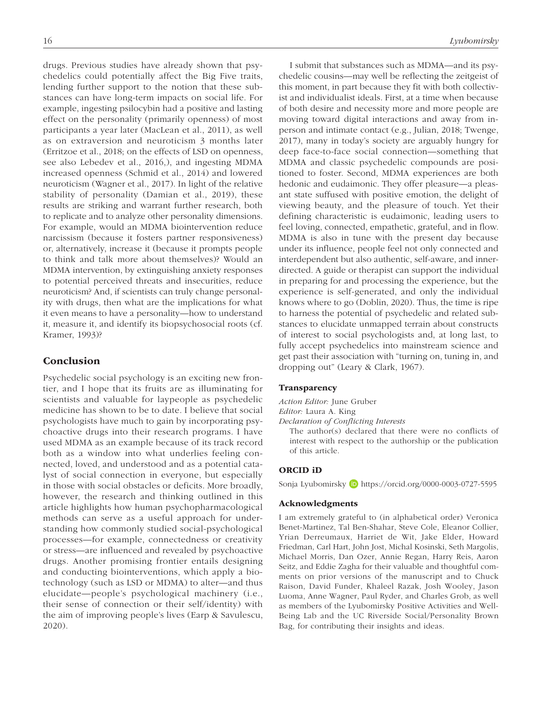drugs. Previous studies have already shown that psychedelics could potentially affect the Big Five traits, lending further support to the notion that these substances can have long-term impacts on social life. For example, ingesting psilocybin had a positive and lasting effect on the personality (primarily openness) of most participants a year later (MacLean et al., 2011), as well as on extraversion and neuroticism 3 months later (Erritzoe et al., 2018; on the effects of LSD on openness, see also Lebedev et al., 2016,), and ingesting MDMA increased openness (Schmid et al., 2014) and lowered neuroticism (Wagner et al., 2017). In light of the relative stability of personality (Damian et al., 2019), these results are striking and warrant further research, both to replicate and to analyze other personality dimensions. For example, would an MDMA biointervention reduce narcissism (because it fosters partner responsiveness) or, alternatively, increase it (because it prompts people to think and talk more about themselves)? Would an MDMA intervention, by extinguishing anxiety responses to potential perceived threats and insecurities, reduce neuroticism? And, if scientists can truly change personality with drugs, then what are the implications for what it even means to have a personality—how to understand it, measure it, and identify its biopsychosocial roots (cf. Kramer, 1993)?

### Conclusion

Psychedelic social psychology is an exciting new frontier, and I hope that its fruits are as illuminating for scientists and valuable for laypeople as psychedelic medicine has shown to be to date. I believe that social psychologists have much to gain by incorporating psychoactive drugs into their research programs. I have used MDMA as an example because of its track record both as a window into what underlies feeling connected, loved, and understood and as a potential catalyst of social connection in everyone, but especially in those with social obstacles or deficits. More broadly, however, the research and thinking outlined in this article highlights how human psychopharmacological methods can serve as a useful approach for understanding how commonly studied social-psychological processes—for example, connectedness or creativity or stress—are influenced and revealed by psychoactive drugs. Another promising frontier entails designing and conducting biointerventions, which apply a biotechnology (such as LSD or MDMA) to alter—and thus elucidate—people's psychological machinery (i.e., their sense of connection or their self/identity) with the aim of improving people's lives (Earp & Savulescu, 2020).

I submit that substances such as MDMA—and its psychedelic cousins—may well be reflecting the zeitgeist of this moment, in part because they fit with both collectivist and individualist ideals. First, at a time when because of both desire and necessity more and more people are moving toward digital interactions and away from inperson and intimate contact (e.g., Julian, 2018; Twenge, 2017), many in today's society are arguably hungry for deep face-to-face social connection—something that MDMA and classic psychedelic compounds are positioned to foster. Second, MDMA experiences are both hedonic and eudaimonic. They offer pleasure—a pleasant state suffused with positive emotion, the delight of viewing beauty, and the pleasure of touch. Yet their defining characteristic is eudaimonic, leading users to feel loving, connected, empathetic, grateful, and in flow. MDMA is also in tune with the present day because under its influence, people feel not only connected and interdependent but also authentic, self-aware, and innerdirected. A guide or therapist can support the individual in preparing for and processing the experience, but the experience is self-generated, and only the individual knows where to go (Doblin, 2020). Thus, the time is ripe to harness the potential of psychedelic and related substances to elucidate unmapped terrain about constructs of interest to social psychologists and, at long last, to fully accept psychedelics into mainstream science and get past their association with "turning on, tuning in, and dropping out" (Leary & Clark, 1967).

#### Transparency

*Action Editor:* June Gruber *Editor:* Laura A. King

*Declaration of Conflicting Interests*

The author(s) declared that there were no conflicts of interest with respect to the authorship or the publication of this article.

#### ORCID iD

Sonja Lyubomirsky D <https://orcid.org/0000-0003-0727-5595>

#### Acknowledgments

I am extremely grateful to (in alphabetical order) Veronica Benet-Martinez, Tal Ben-Shahar, Steve Cole, Eleanor Collier, Yrian Derreumaux, Harriet de Wit, Jake Elder, Howard Friedman, Carl Hart, John Jost, Michal Kosinski, Seth Margolis, Michael Morris, Dan Ozer, Annie Regan, Harry Reis, Aaron Seitz, and Eddie Zagha for their valuable and thoughtful comments on prior versions of the manuscript and to Chuck Raison, David Funder, Khaleel Razak, Josh Wooley, Jason Luoma, Anne Wagner, Paul Ryder, and Charles Grob, as well as members of the Lyubomirsky Positive Activities and Well-Being Lab and the UC Riverside Social/Personality Brown Bag, for contributing their insights and ideas.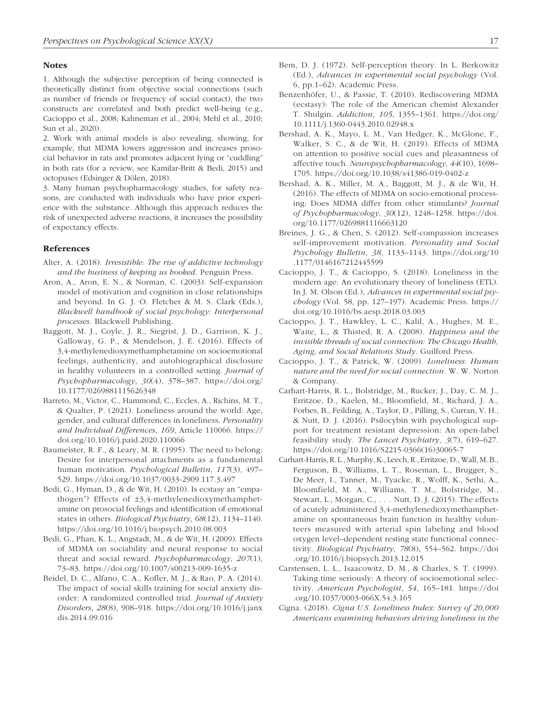#### **Notes**

1. Although the subjective perception of being connected is theoretically distinct from objective social connections (such as number of friends or frequency of social contact), the two constructs are correlated and both predict well-being (e.g., Cacioppo et al., 2008; Kahneman et al., 2004; Mehl et al., 2010; Sun et al., 2020).

2. Work with animal models is also revealing, showing, for example, that MDMA lowers aggression and increases prosocial behavior in rats and promotes adjacent lying or "cuddling" in both rats (for a review, see Kamilar-Britt & Bedi, 2015) and octopuses (Edsinger & Dölen, 2018).

3. Many human psychopharmacology studies, for safety reasons, are conducted with individuals who have prior experience with the substance. Although this approach reduces the risk of unexpected adverse reactions, it increases the possibility of expectancy effects.

#### References

- Alter, A. (2018). *Irresistible: The rise of addictive technology and the business of keeping us hooked*. Penguin Press.
- Aron, A., Aron, E. N., & Norman, C. (2003). Self-expansion model of motivation and cognition in close relationships and beyond. In G. J. O. Fletcher & M. S. Clark (Eds.), *Blackwell handbook of social psychology: Interpersonal processes*. Blackwell Publishing.
- Baggott, M. J., Coyle, J. R., Siegrist, J. D., Garrison, K. J., Galloway, G. P., & Mendelson, J. E. (2016). Effects of 3,4-methylenedioxymethamphetamine on socioemotional feelings, authenticity, and autobiographical disclosure in healthy volunteers in a controlled setting. *Journal of Psychopharmacology*, *30*(4), 378–387. [https://doi.org/](https://doi.org/10.1177/0269881115626348) [10.1177/0269881115626348](https://doi.org/10.1177/0269881115626348)
- Barreto, M., Victor, C., Hammond, C., Eccles, A., Richins, M. T., & Qualter, P. (2021). Loneliness around the world: Age, gender, and cultural differences in loneliness. *Personality and Individual Differences*, *169*, Article 110066. [https://](https://doi.org/10.1016/j.paid.2020.110066) [doi.org/10.1016/j.paid.2020.110066](https://doi.org/10.1016/j.paid.2020.110066)
- Baumeister, R. F., & Leary, M. R. (1995). The need to belong: Desire for interpersonal attachments as a fundamental human motivation. *Psychological Bulletin*, *117*(3), 497– 529. <https://doi.org/10.1037/0033-2909.117.3.497>
- Bedi, G., Hyman, D., & de Wit, H. (2010). Is ecstasy an "empathogen"? Effects of ±3,4-methylenedioxymethamphetamine on prosocial feelings and identification of emotional states in others. *Biological Psychiatry*, *68*(12), 1134–1140. <https://doi.org/10.1016/j.biopsych.2010.08.003>
- Bedi, G., Phan, K. L., Angstadt, M., & de Wit, H. (2009). Effects of MDMA on sociability and neural response to social threat and social reward. *Psychopharmacology*, *207*(1), 73–83. <https://doi.org/10.1007/s00213-009-1635-z>
- Beidel, D. C., Alfano, C. A., Kofler, M. J., & Rao, P. A. (2014). The impact of social skills training for social anxiety disorder: A randomized controlled trial. *Journal of Anxiety Disorders*, *28*(8), 908–918. [https://doi.org/10.1016/j.janx](https://doi.org/10.1016/j.janxdis.2014.09.016) [dis.2014.09.016](https://doi.org/10.1016/j.janxdis.2014.09.016)
- Bem, D. J. (1972). Self-perception theory. In L. Berkowitz (Ed.), *Advances in experimental social psychology* (Vol. 6, pp.1–62). Academic Press.
- Benzenhöfer, U., & Passie, T. (2010). Rediscovering MDMA (ecstasy): The role of the American chemist Alexander T. Shulgin. *Addiction*, *105*, 1355–1361. [https://doi.org/](https://doi.org/10.1111/j.1360-0443.2010.02948.x) [10.1111/j.1360-0443.2010.02948.x](https://doi.org/10.1111/j.1360-0443.2010.02948.x)
- Bershad, A. K., Mayo, L. M., Van Hedger, K., McGlone, F., Walker, S. C., & de Wit, H. (2019). Effects of MDMA on attention to positive social cues and pleasantness of affective touch. *Neuropsychopharmacology*, *44*(10), 1698– 1705. <https://doi.org/10.1038/s41386-019-0402-z>
- Bershad, A. K., Miller, M. A., Baggott, M. J., & de Wit, H. (2016). The effects of MDMA on socio-emotional processing: Does MDMA differ from other stimulants? *Journal of Psychopharmacology*, *30*(12), 1248–1258. [https://doi.](https://doi.org/10.1177/0269881116663120) [org/10.1177/0269881116663120](https://doi.org/10.1177/0269881116663120)
- Breines, J. G., & Chen, S. (2012). Self-compassion increases self-improvement motivation. *Personality and Social Psychology Bulletin*, *38*, 1133–1143. [https://doi.org/10](https://doi.org/10.1177/0146167212445599) [.1177/0146167212445599](https://doi.org/10.1177/0146167212445599)
- Cacioppo, J. T., & Cacioppo, S. (2018). Loneliness in the modern age: An evolutionary theory of loneliness (ETL). In J. M. Olson (Ed.), *Advances in experimental social psychology* (Vol. 58, pp. 127–197). Academic Press. [https://](https://doi.org/10.1016/bs.aesp.2018.03.003) [doi.org/10.1016/bs.aesp.2018.03.003](https://doi.org/10.1016/bs.aesp.2018.03.003)
- Cacioppo, J. T., Hawkley, L. C., Kalil, A., Hughes, M. E., Waite, L., & Thisted, R. A. (2008). *Happiness and the invisible threads of social connection: The Chicago Health, Aging, and Social Relations Study*. Guilford Press.
- Cacioppo, J. T., & Patrick, W. (2009). *Loneliness: Human nature and the need for social connection*. W. W. Norton & Company.
- Carhart-Harris, R. L., Bolstridge, M., Rucker, J., Day, C. M. J., Erritzoe, D., Kaelen, M., Bloomfield, M., Richard, J. A., Forbes, B., Feilding, A., Taylor, D., Pilling, S., Curran, V. H., & Nutt, D. J. (2016). Psilocybin with psychological support for treatment resistant depression: An open-label feasibility study. *The Lancet Psychiatry*, *3*(7), 619–627. [https://doi.org/10.1016/S2215-0366\(16\)30065-7](https://doi.org/10.1016/S2215-0366(16)30065-7)
- Carhart-Harris, R. L., Murphy, K., Leech, R., Erritzoe, D., Wall, M. B., Ferguson, B., Williams, L. T., Roseman, L., Brugger, S., De Meer, I., Tanner, M., Tyacke, R., Wolff, K., Sethi, A., Bloomfield, M. A., Williams, T. M., Bolstridge, M., Stewart, L., Morgan, C., . . . Nutt, D. J. (2015). The effects of acutely administered 3,4-methylenedioxymethamphetamine on spontaneous brain function in healthy volunteers measured with arterial spin labeling and blood oxygen level–dependent resting state functional connectivity. *Biological Psychiatry*, *78*(8), 554–562. [https://doi](https://doi.org/10.1016/j.biopsych.2013.12.015) [.org/10.1016/j.biopsych.2013.12.015](https://doi.org/10.1016/j.biopsych.2013.12.015)
- Carstensen, L. L., Isaacowitz, D. M., & Charles, S. T. (1999). Taking time seriously: A theory of socioemotional selectivity. *American Psychologist*, *54*, 165–181. [https://doi](https://doi.org/10.1037/0003-066X.54.3.165) [.org/10.1037/0003-066X.54.3.165](https://doi.org/10.1037/0003-066X.54.3.165)
- Cigna. (2018). *Cigna U.S. Loneliness Index: Survey of 20,000 Americans examining behaviors driving loneliness in the*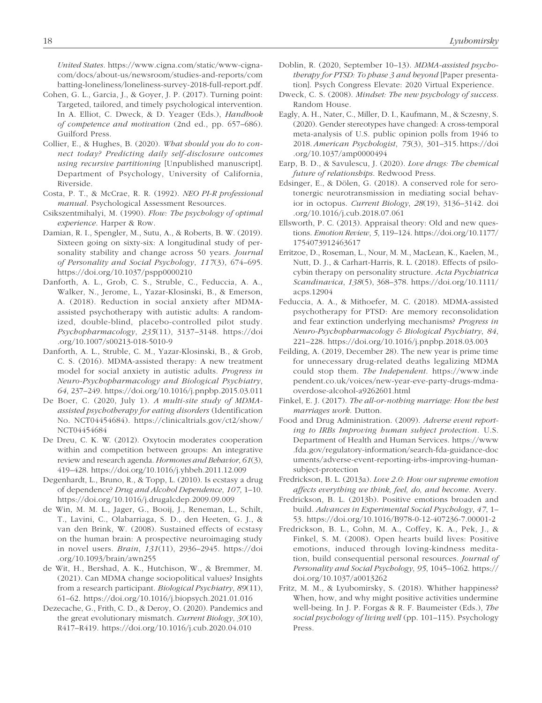*United States*. [https://www.cigna.com/static/www-cigna](https://www.cigna.com/static/www-cigna-com/docs/about-us/newsroom/studies-and-reports/combatting-loneliness/loneliness-survey-2018-full-report.pdf)[com/docs/about-us/newsroom/studies-and-reports/com](https://www.cigna.com/static/www-cigna-com/docs/about-us/newsroom/studies-and-reports/combatting-loneliness/loneliness-survey-2018-full-report.pdf) [batting-loneliness/loneliness-survey-2018-full-report.pdf](https://www.cigna.com/static/www-cigna-com/docs/about-us/newsroom/studies-and-reports/combatting-loneliness/loneliness-survey-2018-full-report.pdf).

- Cohen, G. L., Garcia, J., & Goyer, J. P. (2017). Turning point: Targeted, tailored, and timely psychological intervention. In A. Elliot, C. Dweck, & D. Yeager (Eds.), *Handbook of competence and motivation* (2nd ed., pp. 657–686). Guilford Press.
- Collier, E., & Hughes, B. (2020). *What should you do to connect today? Predicting daily self-disclosure outcomes using recursive partitioning* [Unpublished manuscript]. Department of Psychology, University of California, Riverside.
- Costa, P. T., & McCrae, R. R. (1992). *NEO PI-R professional manual*. Psychological Assessment Resources.
- Csikszentmihalyi, M. (1990). *Flow: The psychology of optimal experience*. Harper & Row.
- Damian, R. I., Spengler, M., Sutu, A., & Roberts, B. W. (2019). Sixteen going on sixty-six: A longitudinal study of personality stability and change across 50 years. *Journal of Personality and Social Psychology*, *117*(3), 674–695. <https://doi.org/10.1037/pspp0000210>
- Danforth, A. L., Grob, C. S., Struble, C., Feduccia, A. A., Walker, N., Jerome, L., Yazar-Klosinski, B., & Emerson, A. (2018). Reduction in social anxiety after MDMAassisted psychotherapy with autistic adults: A randomized, double-blind, placebo-controlled pilot study. *Psychopharmacology*, *235*(11), 3137–3148. [https://doi](https://doi.org/10.1007/s00213-018-5010-9) [.org/10.1007/s00213-018-5010-9](https://doi.org/10.1007/s00213-018-5010-9)
- Danforth, A. L., Struble, C. M., Yazar-Klosinski, B., & Grob, C. S. (2016). MDMA-assisted therapy: A new treatment model for social anxiety in autistic adults. *Progress in Neuro-Psychopharmacology and Biological Psychiatry*, *64*, 237–249.<https://doi.org/10.1016/j.pnpbp.2015.03.011>
- De Boer, C. (2020, July 1). *A multi-site study of MDMAassisted psychotherapy for eating disorders* (Identification No. NCT04454684). [https://clinicaltrials.gov/ct2/show/](https://clinicaltrials.gov/ct2/show/NCT04454684) [NCT04454684](https://clinicaltrials.gov/ct2/show/NCT04454684)
- De Dreu, C. K. W. (2012). Oxytocin moderates cooperation within and competition between groups: An integrative review and research agenda. *Hormones and Behavior*, *61*(3), 419–428.<https://doi.org/10.1016/j.yhbeh.2011.12.009>
- Degenhardt, L., Bruno, R., & Topp, L. (2010). Is ecstasy a drug of dependence? *Drug and Alcohol Dependence*, *107*, 1–10. <https://doi.org/10.1016/j.drugalcdep.2009.09.009>
- de Win, M. M. L., Jager, G., Booij, J., Reneman, L., Schilt, T., Lavini, C., Olabarriaga, S. D., den Heeten, G. J., & van den Brink, W. (2008). Sustained effects of ecstasy on the human brain: A prospective neuroimaging study in novel users. *Brain*, *131*(11), 2936–2945. [https://doi](https://doi.org/10.1093/brain/awn255) [.org/10.1093/brain/awn255](https://doi.org/10.1093/brain/awn255)
- de Wit, H., Bershad, A. K., Hutchison, W., & Bremmer, M. (2021). Can MDMA change sociopolitical values? Insights from a research participant. *Biological Psychiatry*, *89*(11), 61–62. <https://doi.org/10.1016/j.biopsych.2021.01.016>
- Dezecache, G., Frith, C. D., & Deroy, O. (2020). Pandemics and the great evolutionary mismatch. *Current Biology*, *30*(10), R417–R419.<https://doi.org/10.1016/j.cub.2020.04.010>
- Doblin, R. (2020, September 10–13). *MDMA-assisted psychotherapy for PTSD: To phase 3 and beyond* [Paper presentation]. Psych Congress Elevate: 2020 Virtual Experience.
- Dweck, C. S. (2008). *Mindset: The new psychology of success*. Random House.
- Eagly, A. H., Nater, C., Miller, D. I., Kaufmann, M., & Sczesny, S. (2020). Gender stereotypes have changed: A cross-temporal meta-analysis of U.S. public opinion polls from 1946 to 2018. *American Psychologist*, *75*(3), 301–315. [https://doi](https://doi.org/10.1037/amp0000494) [.org/10.1037/amp0000494](https://doi.org/10.1037/amp0000494)
- Earp, B. D., & Savulescu, J. (2020). *Love drugs: The chemical future of relationships*. Redwood Press.
- Edsinger, E., & Dölen, G. (2018). A conserved role for serotonergic neurotransmission in mediating social behavior in octopus. *Current Biology*, *28*(19), 3136–3142. doi .org/10.1016/j.cub.2018.07.061
- Ellsworth, P. C. (2013). Appraisal theory: Old and new questions. *Emotion Review*, *5*, 119–124. [https://doi.org/10.1177/](https://doi.org/10.1177/1754073912463617) [1754073912463617](https://doi.org/10.1177/1754073912463617)
- Erritzoe, D., Roseman, L., Nour, M. M., MacLean, K., Kaelen, M., Nutt, D. J., & Carhart-Harris, R. L. (2018). Effects of psilocybin therapy on personality structure. *Acta Psychiatrica Scandinavica*, *138*(5), 368–378. [https://doi.org/10.1111/](https://doi.org/10.1111/acps.12904) [acps.12904](https://doi.org/10.1111/acps.12904)
- Feduccia, A. A., & Mithoefer, M. C. (2018). MDMA-assisted psychotherapy for PTSD: Are memory reconsolidation and fear extinction underlying mechanisms? *Progress in Neuro-Psychopharmacology & Biological Psychiatry*, *84*, 221–228. <https://doi.org/10.1016/j.pnpbp.2018.03.003>
- Feilding, A. (2019, December 28). The new year is prime time for unnecessary drug-related deaths legalizing MDMA could stop them. *The Independent*. [https://www.inde](https://www.independent.co.uk/voices/new-year-eve-party-drugs-mdma-overdose-alcohol-a9262601.html) [pendent.co.uk/voices/new-year-eve-party-drugs-mdma](https://www.independent.co.uk/voices/new-year-eve-party-drugs-mdma-overdose-alcohol-a9262601.html)[overdose-alcohol-a9262601.html](https://www.independent.co.uk/voices/new-year-eve-party-drugs-mdma-overdose-alcohol-a9262601.html)
- Finkel, E. J. (2017). *The all-or-nothing marriage: How the best marriages work*. Dutton.
- Food and Drug Administration. (2009). *Adverse event reporting to IRBs Improving human subject protection*. U.S. Department of Health and Human Services. [https://www](https://www.fda.gov/regulatory-information/search-fda-guidance-documents/adverse-event-reporting-irbs-improving-human-subject-protection) [.fda.gov/regulatory-information/search-fda-guidance-doc](https://www.fda.gov/regulatory-information/search-fda-guidance-documents/adverse-event-reporting-irbs-improving-human-subject-protection) [uments/adverse-event-reporting-irbs-improving-human](https://www.fda.gov/regulatory-information/search-fda-guidance-documents/adverse-event-reporting-irbs-improving-human-subject-protection)[subject-protection](https://www.fda.gov/regulatory-information/search-fda-guidance-documents/adverse-event-reporting-irbs-improving-human-subject-protection)
- Fredrickson, B. L. (2013a). *Love 2.0: How our supreme emotion affects everything we think, feel, do, and become*. Avery.
- Fredrickson, B. L. (2013b). Positive emotions broaden and build. *Advances in Experimental Social Psychology*, *47*, 1– 53. <https://doi.org/10.1016/B978-0-12-407236-7.00001-2>
- Fredrickson, B. L., Cohn, M. A., Coffey, K. A., Pek, J., & Finkel, S. M. (2008). Open hearts build lives: Positive emotions, induced through loving-kindness meditation, build consequential personal resources. *Journal of Personality and Social Psychology*, *95*, 1045–1062. [https://](https://doi.org/10.1037/a0013262) [doi.org/10.1037/a0013262](https://doi.org/10.1037/a0013262)
- Fritz, M. M., & Lyubomirsky, S. (2018). Whither happiness? When, how, and why might positive activities undermine well-being. In J. P. Forgas & R. F. Baumeister (Eds.), *The social psychology of living well* (pp. 101–115). Psychology Press.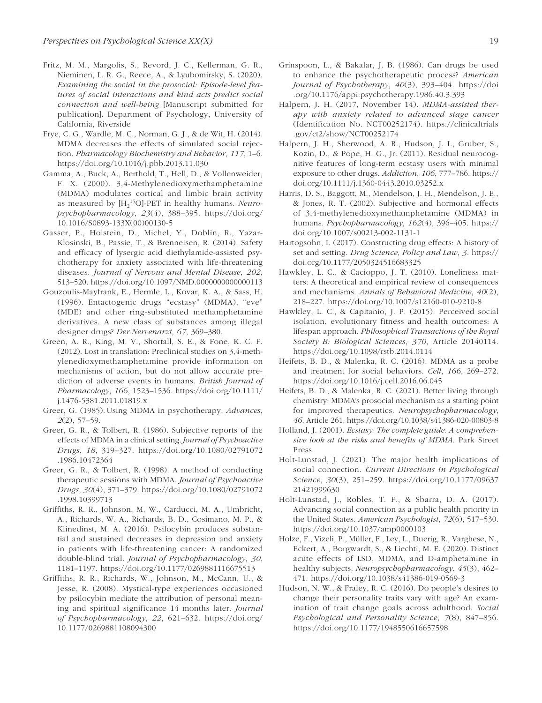- Fritz, M. M., Margolis, S., Revord, J. C., Kellerman, G. R., Nieminen, L. R. G., Reece, A., & Lyubomirsky, S. (2020). *Examining the social in the prosocial: Episode-level features of social interactions and kind acts predict social connection and well-being* [Manuscript submitted for publication]. Department of Psychology, University of California, Riverside
- Frye, C. G., Wardle, M. C., Norman, G. J., & de Wit, H. (2014). MDMA decreases the effects of simulated social rejection. *Pharmacology Biochemistry and Behavior*, *117*, 1–6. <https://doi.org/10.1016/j.pbb.2013.11.030>
- Gamma, A., Buck, A., Berthold, T., Hell, D., & Vollenweider, F. X. (2000). 3,4-Methylenedioxymethamphetamine (MDMA) modulates cortical and limbic brain activity as measured by  $[H_2^{15}O]$ -PET in healthy humans. *Neuropsychopharmacology*, *23*(4), 388–395. [https://doi.org/](https://doi.org/10.1016/S0893-133X(00)00130-5) [10.1016/S0893-133X\(00\)00130-5](https://doi.org/10.1016/S0893-133X(00)00130-5)
- Gasser, P., Holstein, D., Michel, Y., Doblin, R., Yazar-Klosinski, B., Passie, T., & Brenneisen, R. (2014). Safety and efficacy of lysergic acid diethylamide-assisted psychotherapy for anxiety associated with life-threatening diseases. *Journal of Nervous and Mental Disease*, *202*, 513–520.<https://doi.org/10.1097/NMD.0000000000000113>
- Gouzoulis-Mayfrank, E., Hermle, L., Kovar, K. A., & Sass, H. (1996). Entactogenic drugs "ecstasy" (MDMA), "eve" (MDE) and other ring-substituted methamphetamine derivatives. A new class of substances among illegal designer drugs? *Der Nervenarzt*, *67*, 369–380.
- Green, A. R., King, M. V., Shortall, S. E., & Fone, K. C. F. (2012). Lost in translation: Preclinical studies on 3,4-methylenedioxymethamphetamine provide information on mechanisms of action, but do not allow accurate prediction of adverse events in humans. *British Journal of Pharmacology*, *166*, 1523–1536. [https://doi.org/10.1111/](https://doi.org/10.1111/j.1476-5381.2011.01819.x) [j.1476-5381.2011.01819.x](https://doi.org/10.1111/j.1476-5381.2011.01819.x)
- Greer, G. (1985). Using MDMA in psychotherapy. *Advances*, *2*(2), 57–59.
- Greer, G. R., & Tolbert, R. (1986). Subjective reports of the effects of MDMA in a clinical setting. *Journal of Psychoactive Drugs*, *18*, 319–327. [https://doi.org/10.1080/02791072](https://doi.org/10.1080/02791072.1986.10472364) [.1986.10472364](https://doi.org/10.1080/02791072.1986.10472364)
- Greer, G. R., & Tolbert, R. (1998). A method of conducting therapeutic sessions with MDMA. *Journal of Psychoactive Drugs*, *30*(4), 371–379. [https://doi.org/10.1080/02791072](https://doi.org/10.1080/02791072.1998.10399713) [.1998.10399713](https://doi.org/10.1080/02791072.1998.10399713)
- Griffiths, R. R., Johnson, M. W., Carducci, M. A., Umbricht, A., Richards, W. A., Richards, B. D., Cosimano, M. P., & Klinedinst, M. A. (2016). Psilocybin produces substantial and sustained decreases in depression and anxiety in patients with life-threatening cancer: A randomized double-blind trial. *Journal of Psychopharmacology*, *30*, 1181–1197. <https://doi.org/10.1177/0269881116675513>
- Griffiths, R. R., Richards, W., Johnson, M., McCann, U., & Jesse, R. (2008). Mystical-type experiences occasioned by psilocybin mediate the attribution of personal meaning and spiritual significance 14 months later. *Journal of Psychopharmacology*, *22*, 621–632. [https://doi.org/](https://doi.org/10.1177/0269881108094300) [10.1177/0269881108094300](https://doi.org/10.1177/0269881108094300)
- Grinspoon, L., & Bakalar, J. B. (1986). Can drugs be used to enhance the psychotherapeutic process? *American Journal of Psychotherapy*, *40*(3), 393–404. [https://doi](https://doi.org/10.1176/appi.psychotherapy.1986.40.3.393) [.org/10.1176/appi.psychotherapy.1986.40.3.393](https://doi.org/10.1176/appi.psychotherapy.1986.40.3.393)
- Halpern, J. H. (2017, November 14). *MDMA-assisted therapy with anxiety related to advanced stage cancer* (Identification No. NCT00252174). [https://clinicaltrials](https://clinicaltrials.gov/ct2/show/NCT00252174) [.gov/ct2/show/NCT00252174](https://clinicaltrials.gov/ct2/show/NCT00252174)
- Halpern, J. H., Sherwood, A. R., Hudson, J. I., Gruber, S., Kozin, D., & Pope, H. G., Jr. (2011). Residual neurocognitive features of long-term ecstasy users with minimal exposure to other drugs. *Addiction*, *106*, 777–786. [https://](https://doi.org/10.1111/j.1360-0443.2010.03252.x) [doi.org/10.1111/j.1360-0443.2010.03252.x](https://doi.org/10.1111/j.1360-0443.2010.03252.x)
- Harris, D. S., Baggott, M., Mendelson, J. H., Mendelson, J. E., & Jones, R. T. (2002). Subjective and hormonal effects of 3,4-methylenedioxymethamphetamine (MDMA) in humans. *Psychopharmacology*, *162*(4), 396–405. [https://](https://doi.org/10.1007/s00213-002-1131-1) [doi.org/10.1007/s00213-002-1131-1](https://doi.org/10.1007/s00213-002-1131-1)
- Hartogsohn, I. (2017). Constructing drug effects: A history of set and setting. *Drug Science, Policy and Law*, *3*. [https://](https://doi.org/10.1177/2050324516683325) [doi.org/10.1177/2050324516683325](https://doi.org/10.1177/2050324516683325)
- Hawkley, L. C., & Cacioppo, J. T. (2010). Loneliness matters: A theoretical and empirical review of consequences and mechanisms. *Annals of Behavioral Medicine*, *40*(2), 218–227. <https://doi.org/10.1007/s12160-010-9210-8>
- Hawkley, L. C., & Capitanio, J. P. (2015). Perceived social isolation, evolutionary fitness and health outcomes: A lifespan approach. *Philosophical Transactions of the Royal Society B: Biological Sciences*, *370*, Article 20140114. <https://doi.org/10.1098/rstb.2014.0114>
- Heifets, B. D., & Malenka, R. C. (2016). MDMA as a probe and treatment for social behaviors. *Cell*, *166*, 269–272. <https://doi.org/10.1016/j.cell.2016.06.045>
- Heifets, B. D., & Malenka, R. C. (2021). Better living through chemistry: MDMA's prosocial mechanism as a starting point for improved therapeutics. *Neuropsychopharmacology*, *46*, Article 261.<https://doi.org/10.1038/s41386-020-00803-8>
- Holland, J. (2001). *Ecstasy: The complete guide: A comprehensive look at the risks and benefits of MDMA*. Park Street Press.
- Holt-Lunstad, J. (2021). The major health implications of social connection. *Current Directions in Psychological Science*, *30*(3), 251–259. [https://doi.org/10.1177/09637](https://doi.org/10.1177/0963721421999630) [21421999630](https://doi.org/10.1177/0963721421999630)
- Holt-Lunstad, J., Robles, T. F., & Sbarra, D. A. (2017). Advancing social connection as a public health priority in the United States. *American Psychologist*, *72*(6), 517–530. <https://doi.org/10.1037/amp0000103>
- Holze, F., Vizeli, P., Müller, F., Ley, L., Duerig, R., Varghese, N., Eckert, A., Borgwardt, S., & Liechti, M. E. (2020). Distinct acute effects of LSD, MDMA, and D-amphetamine in healthy subjects. *Neuropsychopharmacology*, *45*(3), 462– 471.<https://doi.org/10.1038/s41386-019-0569-3>
- Hudson, N. W., & Fraley, R. C. (2016). Do people's desires to change their personality traits vary with age? An examination of trait change goals across adulthood. *Social Psychological and Personality Science*, *7*(8), 847–856. <https://doi.org/10.1177/1948550616657598>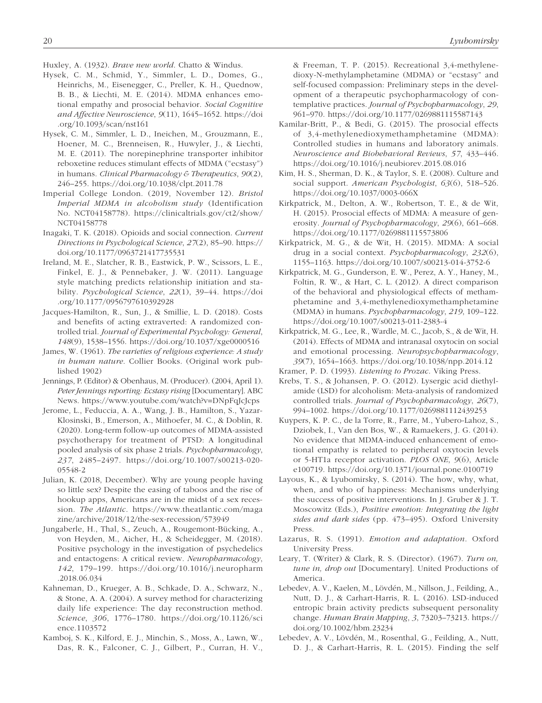- Huxley, A. (1932). *Brave new world*. Chatto & Windus.
- Hysek, C. M., Schmid, Y., Simmler, L. D., Domes, G., Heinrichs, M., Eisenegger, C., Preller, K. H., Quednow, B. B., & Liechti, M. E. (2014). MDMA enhances emotional empathy and prosocial behavior. *Social Cognitive and Affective Neuroscience*, *9*(11), 1645–1652. [https://doi](https://doi.org/10.1093/scan/nst161) [.org/10.1093/scan/nst161](https://doi.org/10.1093/scan/nst161)
- Hysek, C. M., Simmler, L. D., Ineichen, M., Grouzmann, E., Hoener, M. C., Brenneisen, R., Huwyler, J., & Liechti, M. E. (2011). The norepinephrine transporter inhibitor reboxetine reduces stimulant effects of MDMA ("ecstasy") in humans. *Clinical Pharmacology & Therapeutics*, *90*(2), 246–255. <https://doi.org/10.1038/clpt.2011.78>
- Imperial College London. (2019, November 12). *Bristol Imperial MDMA in alcoholism study* (Identification No. NCT04158778). [https://clinicaltrials.gov/ct2/show/](https://clinicaltrials.gov/ct2/show/NCT04158778) [NCT04158778](https://clinicaltrials.gov/ct2/show/NCT04158778)
- Inagaki, T. K. (2018). Opioids and social connection. *Current Directions in Psychological Science*, *27*(2), 85–90. [https://](https://doi.org/10.1177/0963721417735531) [doi.org/10.1177/0963721417735531](https://doi.org/10.1177/0963721417735531)
- Ireland, M. E., Slatcher, R. B., Eastwick, P. W., Scissors, L. E., Finkel, E. J., & Pennebaker, J. W. (2011). Language style matching predicts relationship initiation and stability. *Psychological Science*, *22*(1), 39–44. [https://doi](https://doi.org/10.1177/0956797610392928) [.org/10.1177/0956797610392928](https://doi.org/10.1177/0956797610392928)
- Jacques-Hamilton, R., Sun, J., & Smillie, L. D. (2018). Costs and benefits of acting extraverted: A randomized controlled trial. *Journal of Experimental Psychology: General*, *148*(9), 1538–1556.<https://doi.org/10.1037/xge0000516>
- James, W. (1961). *The varieties of religious experience: A study in human nature*. Collier Books. (Original work published 1902)
- Jennings, P. (Editor) & Obenhaus, M. (Producer). (2004, April 1). *Peter Jennings reporting: Ecstasy rising* [Documentary]. ABC News.<https://www.youtube.com/watch?v=DNpFqJcJcps>
- Jerome, L., Feduccia, A. A., Wang, J. B., Hamilton, S., Yazar-Klosinski, B., Emerson, A., Mithoefer, M. C., & Doblin, R. (2020). Long-term follow-up outcomes of MDMA-assisted psychotherapy for treatment of PTSD: A longitudinal pooled analysis of six phase 2 trials. *Psychopharmacology*, *237*, 2485–2497. [https://doi.org/10.1007/s00213-020-](https://doi.org/10.1007/s00213-020-05548-2) [05548-2](https://doi.org/10.1007/s00213-020-05548-2)
- Julian, K. (2018, December). Why are young people having so little sex? Despite the easing of taboos and the rise of hookup apps, Americans are in the midst of a sex recession. *The Atlantic*. [https://www.theatlantic.com/maga](https://www.theatlantic.com/magazine/archive/2018/12/the-sex-recession/573949) [zine/archive/2018/12/the-sex-recession/573949](https://www.theatlantic.com/magazine/archive/2018/12/the-sex-recession/573949)
- Jungaberle, H., Thal, S., Zeuch, A., Rougemont-Bücking, A., von Heyden, M., Aicher, H., & Scheidegger, M. (2018). Positive psychology in the investigation of psychedelics and entactogens: A critical review. *Neuropharmacology*, *142*, 179–199. [https://doi.org/10.1016/j.neuropharm](https://doi.org/10.1016/j.neuropharm.2018.06.034) [.2018.06.034](https://doi.org/10.1016/j.neuropharm.2018.06.034)
- Kahneman, D., Krueger, A. B., Schkade, D. A., Schwarz, N., & Stone, A. A. (2004). A survey method for characterizing daily life experience: The day reconstruction method. *Science*, *306*, 1776–1780. [https://doi.org/10.1126/sci](https://doi.org/10.1126/science.1103572) [ence.1103572](https://doi.org/10.1126/science.1103572)
- Kamboj, S. K., Kilford, E. J., Minchin, S., Moss, A., Lawn, W., Das, R. K., Falconer, C. J., Gilbert, P., Curran, H. V.,

& Freeman, T. P. (2015). Recreational 3,4-methylenedioxy-N-methylamphetamine (MDMA) or "ecstasy" and self-focused compassion: Preliminary steps in the development of a therapeutic psychopharmacology of contemplative practices. *Journal of Psychopharmacology*, *29*, 961–970. <https://doi.org/10.1177/0269881115587143>

- Kamilar-Britt, P., & Bedi, G. (2015). The prosocial effects of 3,4-methylenedioxymethamphetamine (MDMA): Controlled studies in humans and laboratory animals. *Neuroscience and Biobehavioral Reviews*, *57*, 433–446. <https://doi.org/10.1016/j.neubiorev.2015.08.016>
- Kim, H. S., Sherman, D. K., & Taylor, S. E. (2008). Culture and social support. *American Psychologist*, *63*(6), 518–526. <https://doi.org/10.1037/0003-066X>
- Kirkpatrick, M., Delton, A. W., Robertson, T. E., & de Wit, H. (2015). Prosocial effects of MDMA: A measure of generosity. *Journal of Psychopharmacology*, *29*(6), 661–668. <https://doi.org/10.1177/0269881115573806>
- Kirkpatrick, M. G., & de Wit, H. (2015). MDMA: A social drug in a social context. *Psychopharmacology*, *232*(6), 1155–1163.<https://doi.org/10.1007/s00213-014-3752-6>
- Kirkpatrick, M. G., Gunderson, E. W., Perez, A. Y., Haney, M., Foltin, R. W., & Hart, C. L. (2012). A direct comparison of the behavioral and physiological effects of methamphetamine and 3,4-methylenedioxymethamphetamine (MDMA) in humans. *Psychopharmacology*, *219*, 109–122. <https://doi.org/10.1007/s00213-011-2383-4>
- Kirkpatrick, M. G., Lee, R., Wardle, M. C., Jacob, S., & de Wit, H. (2014). Effects of MDMA and intranasal oxytocin on social and emotional processing. *Neuropsychopharmacology*, *39*(7), 1654–1663. <https://doi.org/10.1038/npp.2014.12>
- Kramer, P. D. (1993). *Listening to Prozac*. Viking Press.
- Krebs, T. S., & Johansen, P. O. (2012). Lysergic acid diethylamide (LSD) for alcoholism: Meta-analysis of randomized controlled trials. *Journal of Psychopharmacology*, *26*(7), 994–1002. <https://doi.org/10.1177/0269881112439253>
- Kuypers, K. P. C., de la Torre, R., Farre, M., Yubero-Lahoz, S., Dziobek, I., Van den Bos, W., & Ramaekers, J. G. (2014). No evidence that MDMA-induced enhancement of emotional empathy is related to peripheral oxytocin levels or 5-HT1a receptor activation. *PLOS ONE*, *9*(6), Article e100719. <https://doi.org/10.1371/journal.pone.0100719>
- Layous, K., & Lyubomirsky, S. (2014). The how, why, what, when, and who of happiness: Mechanisms underlying the success of positive interventions. In J. Gruber & J. T. Moscowitz (Eds.), *Positive emotion: Integrating the light sides and dark sides* (pp. 473–495). Oxford University Press.
- Lazarus, R. S. (1991). *Emotion and adaptation*. Oxford University Press.
- Leary, T. (Writer) & Clark, R. S. (Director). (1967). *Turn on, tune in, drop out* [Documentary]. United Productions of America.
- Lebedev, A. V., Kaelen, M., Lövdén, M., Nillson, J., Feilding, A., Nutt, D. J., & Carhart-Harris, R. L. (2016). LSD-induced entropic brain activity predicts subsequent personality change. *Human Brain Mapping*, *3*, 73203–73213. [https://](https://doi.org/10.1002/hbm.23234) [doi.org/10.1002/hbm.23234](https://doi.org/10.1002/hbm.23234)
- Lebedev, A. V., Lövdén, M., Rosenthal, G., Feilding, A., Nutt, D. J., & Carhart-Harris, R. L. (2015). Finding the self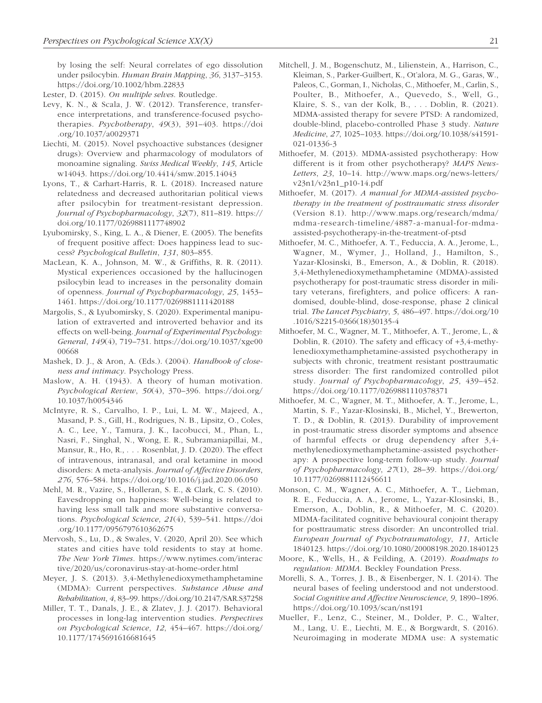by losing the self: Neural correlates of ego dissolution under psilocybin. *Human Brain Mapping*, *36*, 3137–3153. <https://doi.org/10.1002/hbm.22833>

- Lester, D. (2015). *On multiple selves*. Routledge.
- Levy, K. N., & Scala, J. W. (2012). Transference, transference interpretations, and transference-focused psychotherapies. *Psychotherapy*, *49*(3), 391–403. [https://doi](https://doi.org/10.1037/a0029371) [.org/10.1037/a0029371](https://doi.org/10.1037/a0029371)
- Liechti, M. (2015). Novel psychoactive substances (designer drugs): Overview and pharmacology of modulators of monoamine signaling. *Swiss Medical Weekly*, *145*, Article w14043.<https://doi.org/10.4414/smw.2015.14043>
- Lyons, T., & Carhart-Harris, R. L. (2018). Increased nature relatedness and decreased authoritarian political views after psilocybin for treatment-resistant depression. *Journal of Psychopharmacology*, *32*(7), 811–819. [https://](https://doi.org/10.1177/0269881117748902) [doi.org/10.1177/0269881117748902](https://doi.org/10.1177/0269881117748902)
- Lyubomirsky, S., King, L. A., & Diener, E. (2005). The benefits of frequent positive affect: Does happiness lead to success? *Psychological Bulletin*, *131*, 803–855.
- MacLean, K. A., Johnson, M. W., & Griffiths, R. R. (2011). Mystical experiences occasioned by the hallucinogen psilocybin lead to increases in the personality domain of openness. *Journal of Psychopharmacology*, *25*, 1453– 1461.<https://doi.org/10.1177/0269881111420188>
- Margolis, S., & Lyubomirsky, S. (2020). Experimental manipulation of extraverted and introverted behavior and its effects on well-being. *Journal of Experimental Psychology: General*, *149*(4), 719–731. [https://doi.org/10.1037/xge00](https://doi.org/10.1037/xge0000668) [00668](https://doi.org/10.1037/xge0000668)
- Mashek, D. J., & Aron, A. (Eds.). (2004). *Handbook of closeness and intimacy*. Psychology Press.
- Maslow, A. H. (1943). A theory of human motivation. *Psychological Review*, *50*(4), 370–396. [https://doi.org/](https://doi.org/10.1037/h0054346) [10.1037/h0054346](https://doi.org/10.1037/h0054346)
- McIntyre, R. S., Carvalho, I. P., Lui, L. M. W., Majeed, A., Masand, P. S., Gill, H., Rodrigues, N. B., Lipsitz, O., Coles, A. C., Lee, Y., Tamura, J. K., Iacobucci, M., Phan, L., Nasri, F., Singhal, N., Wong, E. R., Subramaniapillai, M., Mansur, R., Ho, R., . . . Rosenblat, J. D. (2020). The effect of intravenous, intranasal, and oral ketamine in mood disorders: A meta-analysis. *Journal of Affective Disorders*, *276*, 576–584.<https://doi.org/10.1016/j.jad.2020.06.050>
- Mehl, M. R., Vazire, S., Holleran, S. E., & Clark, C. S. (2010). Eavesdropping on happiness: Well-being is related to having less small talk and more substantive conversations. *Psychological Science*, *21*(4), 539–541. [https://doi](https://doi.org/10.1177/0956797610362675) [.org/10.1177/0956797610362675](https://doi.org/10.1177/0956797610362675)
- Mervosh, S., Lu, D., & Swales, V. (2020, April 20). See which states and cities have told residents to stay at home. *The New York Times*. [https://www.nytimes.com/interac](https://www.nytimes.com/interactive/2020/us/coronavirus-stay-at-home-order.html) [tive/2020/us/coronavirus-stay-at-home-order.html](https://www.nytimes.com/interactive/2020/us/coronavirus-stay-at-home-order.html)
- Meyer, J. S. (2013). 3,4-Methylenedioxymethamphetamine (MDMA): Current perspectives. *Substance Abuse and Rehabilitation*, *4*, 83–99.<https://doi.org/10.2147/SAR.S37258>
- Miller, T. T., Danals, J. E., & Zlatev, J. J. (2017). Behavioral processes in long-lag intervention studies. *Perspectives on Psychological Science*, *12*, 454–467. [https://doi.org/](https://doi.org/10.1177/1745691616681645) [10.1177/1745691616681645](https://doi.org/10.1177/1745691616681645)
- Mitchell, J. M., Bogenschutz, M., Lilienstein, A., Harrison, C., Kleiman, S., Parker-Guilbert, K., Ot'alora, M. G., Garas, W., Paleos, C., Gorman, I., Nicholas, C., Mithoefer, M., Carlin, S., Poulter, B., Mithoefer, A., Quevedo, S., Well, G., Klaire, S. S., van der Kolk, B., . . . Doblin, R. (2021). MDMA-assisted therapy for severe PTSD: A randomized, double-blind, placebo-controlled Phase 3 study. *Nature Medicine*, *27*, 1025–1033. [https://doi.org/10.1038/s41591-](https://doi.org/10.1038/s41591-021-01336-3) [021-01336-3](https://doi.org/10.1038/s41591-021-01336-3)
- Mithoefer, M. (2013). MDMA-assisted psychotherapy: How different is it from other psychotherapy? *MAPS News-Letters*, *23*, 10–14. [http://www.maps.org/news-letters/](http://www.maps.org/news-letters/v23n1/v23n1_p10-14.pdf) [v23n1/v23n1\\_p10-14.pdf](http://www.maps.org/news-letters/v23n1/v23n1_p10-14.pdf)
- Mithoefer, M. (2017). *A manual for MDMA-assisted psychotherapy in the treatment of posttraumatic stress disorder* (Version 8.1). [http://www.maps.org/research/mdma/](http://www.maps.org/research/mdma/mdma-research-timeline/4887-a-manual-for-mdma-assisted-psychotherapy-in-the-treatment-of-ptsd) [mdma-research-timeline/4887-a-manual-for-mdma](http://www.maps.org/research/mdma/mdma-research-timeline/4887-a-manual-for-mdma-assisted-psychotherapy-in-the-treatment-of-ptsd)[assisted-psychotherapy-in-the-treatment-of-ptsd](http://www.maps.org/research/mdma/mdma-research-timeline/4887-a-manual-for-mdma-assisted-psychotherapy-in-the-treatment-of-ptsd)
- Mithoefer, M. C., Mithoefer, A. T., Feduccia, A. A., Jerome, L., Wagner, M., Wymer, J., Holland, J., Hamilton, S., Yazar-Klosinski, B., Emerson, A., & Doblin, R. (2018). 3,4-Methylenedioxymethamphetamine (MDMA)-assisted psychotherapy for post-traumatic stress disorder in military veterans, firefighters, and police officers: A randomised, double-blind, dose-response, phase 2 clinical trial. *The Lancet Psychiatry*, *5*, 486–497. [https://doi.org/10](https://doi.org/10.1016/S2215-0366(18)30135-4) [.1016/S2215-0366\(18\)30135-4](https://doi.org/10.1016/S2215-0366(18)30135-4)
- Mithoefer, M. C., Wagner, M. T., Mithoefer, A. T., Jerome, L., & Doblin, R. (2010). The safety and efficacy of +3,4-methylenedioxymethamphetamine-assisted psychotherapy in subjects with chronic, treatment resistant posttraumatic stress disorder: The first randomized controlled pilot study. *Journal of Psychopharmacology*, *25*, 439–452. <https://doi.org/10.1177/0269881110378371>
- Mithoefer, M. C., Wagner, M. T., Mithoefer, A. T., Jerome, L., Martin, S. F., Yazar-Klosinski, B., Michel, Y., Brewerton, T. D., & Doblin, R. (2013). Durability of improvement in post-traumatic stress disorder symptoms and absence of harmful effects or drug dependency after 3,4 methylenedioxymethamphetamine-assisted psychotherapy: A prospective long-term follow-up study. *Journal of Psychopharmacology*, *27*(1), 28–39. [https://doi.org/](https://doi.org/10.1177/0269881112456611) [10.1177/0269881112456611](https://doi.org/10.1177/0269881112456611)
- Monson, C. M., Wagner, A. C., Mithoefer, A. T., Liebman, R. E., Feduccia, A. A., Jerome, L., Yazar-Klosinski, B., Emerson, A., Doblin, R., & Mithoefer, M. C. (2020). MDMA-facilitated cognitive behavioural conjoint therapy for posttraumatic stress disorder: An uncontrolled trial. *European Journal of Psychotraumatology*, *11*, Article 1840123.<https://doi.org/10.1080/20008198.2020.1840123>
- Moore, K., Wells, H., & Feilding, A. (2019). *Roadmaps to regulation: MDMA*. Beckley Foundation Press.
- Morelli, S. A., Torres, J. B., & Eisenberger, N. I. (2014). The neural bases of feeling understood and not understood. *Social Cognitive and Affective Neuroscience*, *9*, 1890–1896. <https://doi.org/10.1093/scan/nst191>
- Mueller, F., Lenz, C., Steiner, M., Dolder, P. C., Walter, M., Lang, U. E., Liechti, M. E., & Borgwardt, S. (2016). Neuroimaging in moderate MDMA use: A systematic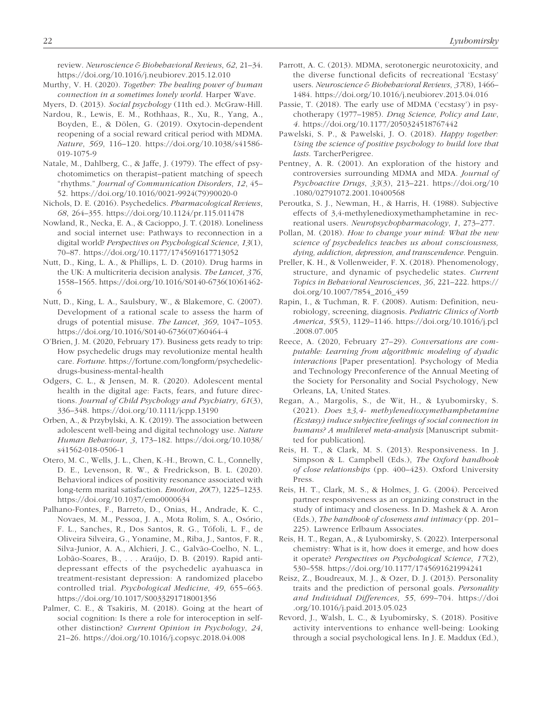review. *Neuroscience & Biobehavioral Reviews*, *62*, 21–34. <https://doi.org/10.1016/j.neubiorev.2015.12.010>

Murthy, V. H. (2020). *Together: The healing power of human connection in a sometimes lonely world*. Harper Wave.

Myers, D. (2013). *Social psychology* (11th ed.). McGraw-Hill.

- Nardou, R., Lewis, E. M., Rothhaas, R., Xu, R., Yang, A., Boyden, E., & Dölen, G. (2019). Oxytocin-dependent reopening of a social reward critical period with MDMA. *Nature*, *569*, 116–120. [https://doi.org/10.1038/s41586-](https://doi.org/10.1038/s41586-019-1075-9) [019-1075-9](https://doi.org/10.1038/s41586-019-1075-9)
- Natale, M., Dahlberg, C., & Jaffe, J. (1979). The effect of psychotomimetics on therapist–patient matching of speech "rhythms." *Journal of Communication Disorders*, *12*, 45– 52. [https://doi.org/10.1016/0021-9924\(79\)90020-0](https://doi.org/10.1016/0021-9924(79)90020-0)
- Nichols, D. E. (2016). Psychedelics. *Pharmacological Reviews*, *68*, 264–355.<https://doi.org/10.1124/pr.115.011478>
- Nowland, R., Necka, E. A., & Cacioppo, J. T. (2018). Loneliness and social internet use: Pathways to reconnection in a digital world? *Perspectives on Psychological Science*, *13*(1), 70–87. <https://doi.org/10.1177/1745691617713052>
- Nutt, D., King, L. A., & Phillips, L. D. (2010). Drug harms in the UK: A multicriteria decision analysis. *The Lancet*, *376*, 1558–1565. [https://doi.org/10.1016/S0140-6736\(10\)61462-](https://doi.org/10.1016/S0140-6736(10)61462-6) [6](https://doi.org/10.1016/S0140-6736(10)61462-6)
- Nutt, D., King, L. A., Saulsbury, W., & Blakemore, C. (2007). Development of a rational scale to assess the harm of drugs of potential misuse. *The Lancet*, *369*, 1047–1053. [https://doi.org/10.1016/S0140-6736\(07\)60464-4](https://doi.org/10.1016/S0140-6736(07)60464-4)
- O'Brien, J. M. (2020, February 17). Business gets ready to trip: How psychedelic drugs may revolutionize mental health care. *Fortune*. [https://fortune.com/longform/psychedelic](https://fortune.com/longform/psychedelic-drugs-business-mental-health)[drugs-business-mental-health](https://fortune.com/longform/psychedelic-drugs-business-mental-health)
- Odgers, C. L., & Jensen, M. R. (2020). Adolescent mental health in the digital age: Facts, fears, and future directions. *Journal of Child Psychology and Psychiatry*, *61*(3), 336–348. <https://doi.org/10.1111/jcpp.13190>
- Orben, A., & Przybylski, A. K. (2019). The association between adolescent well-being and digital technology use. *Nature Human Behaviour*, *3*, 173–182. [https://doi.org/10.1038/](https://doi.org/10.1038/s41562-018-0506-1) [s41562-018-0506-1](https://doi.org/10.1038/s41562-018-0506-1)
- Otero, M. C., Wells, J. L., Chen, K.-H., Brown, C. L., Connelly, D. E., Levenson, R. W., & Fredrickson, B. L. (2020). Behavioral indices of positivity resonance associated with long-term marital satisfaction. *Emotion*, *20*(7), 1225–1233. <https://doi.org/10.1037/emo0000634>
- Palhano-Fontes, F., Barreto, D., Onias, H., Andrade, K. C., Novaes, M. M., Pessoa, J. A., Mota Rolim, S. A., Osório, F. L., Sanches, R., Dos Santos, R. G., Tófoli, L. F., de Oliveira Silveira, G., Yonamine, M., Riba, J., Santos, F. R., Silva-Junior, A. A., Alchieri, J. C., Galvão-Coelho, N. L., Lobão-Soares, B., . . . Araújo, D. B. (2019). Rapid antidepressant effects of the psychedelic ayahuasca in treatment-resistant depression: A randomized placebo controlled trial. *Psychological Medicine*, *49*, 655–663. <https://doi.org/10.1017/S0033291718001356>
- Palmer, C. E., & Tsakiris, M. (2018). Going at the heart of social cognition: Is there a role for interoception in selfother distinction? *Current Opinion in Psychology*, *24*, 21–26. <https://doi.org/10.1016/j.copsyc.2018.04.008>
- Parrott, A. C. (2013). MDMA, serotonergic neurotoxicity, and the diverse functional deficits of recreational 'Ecstasy' users. *Neuroscience & Biobehavioral Reviews*, *37*(8), 1466– 1484. <https://doi.org/10.1016/j.neubiorev.2013.04.016>
- Passie, T. (2018). The early use of MDMA ('ecstasy') in psychotherapy (1977–1985). *Drug Science, Policy and Law*, *4*.<https://doi.org/10.1177/2050324518767442>
- Pawelski, S. P., & Pawelski, J. O. (2018). *Happy together: Using the science of positive psychology to build love that lasts*. TarcherPerigree.
- Pentney, A. R. (2001). An exploration of the history and controversies surrounding MDMA and MDA. *Journal of Psychoactive Drugs*, *33*(3), 213–221. [https://doi.org/10](https://doi.org/10.1080/02791072.2001.10400568) [.1080/02791072.2001.10400568](https://doi.org/10.1080/02791072.2001.10400568)
- Peroutka, S. J., Newman, H., & Harris, H. (1988). Subjective effects of 3,4-methylenedioxymethamphetamine in recreational users. *Neuropsychopharmacology*, *1*, 273–277.
- Pollan, M. (2018). *How to change your mind: What the new science of psychedelics teaches us about consciousness, dying, addiction, depression, and transcendence*. Penguin.
- Preller, K. H., & Vollenweider, F. X. (2018). Phenomenology, structure, and dynamic of psychedelic states. *Current Topics in Behavioral Neurosciences*, *36*, 221–222. [https://](https://doi.org/10.1007/7854_2016_459) [doi.org/10.1007/7854\\_2016\\_459](https://doi.org/10.1007/7854_2016_459)
- Rapin, I., & Tuchman, R. F. (2008). Autism: Definition, neurobiology, screening, diagnosis. *Pediatric Clinics of North America*, *55*(5), 1129–1146. [https://doi.org/10.1016/j.pcl](https://doi.org/10.1016/j.pcl.2008.07.005) [.2008.07.005](https://doi.org/10.1016/j.pcl.2008.07.005)
- Reece, A. (2020, February 27–29). *Conversations are computable: Learning from algorithmic modeling of dyadic interactions* [Paper presentation]. Psychology of Media and Technology Preconference of the Annual Meeting of the Society for Personality and Social Psychology, New Orleans, LA, United States.
- Regan, A., Margolis, S., de Wit, H., & Lyubomirsky, S. (2021). *Does* ±*3,4- methylenedioxymethamphetamine (Ecstasy) induce subjective feelings of social connection in humans? A multilevel meta-analysis* [Manuscript submitted for publication].
- Reis, H. T., & Clark, M. S. (2013). Responsiveness. In J. Simpson & L. Campbell (Eds.), *The Oxford handbook of close relationships* (pp. 400–423). Oxford University Press.
- Reis, H. T., Clark, M. S., & Holmes, J. G. (2004). Perceived partner responsiveness as an organizing construct in the study of intimacy and closeness. In D. Mashek & A. Aron (Eds.), *The handbook of closeness and intimacy* (pp. 201– 225). Lawrence Erlbaum Associates.
- Reis, H. T., Regan, A., & Lyubomirsky, S. (2022). Interpersonal chemistry: What is it, how does it emerge, and how does it operate? *Perspectives on Psychological Science*, *17*(2), 530–558. <https://doi.org/10.1177/1745691621994241>
- Reisz, Z., Boudreaux, M. J., & Ozer, D. J. (2013). Personality traits and the prediction of personal goals. *Personality and Individual Differences*, *55*, 699–704. [https://doi](https://doi.org/10.1016/j.paid.2013.05.023) [.org/10.1016/j.paid.2013.05.023](https://doi.org/10.1016/j.paid.2013.05.023)
- Revord, J., Walsh, L. C., & Lyubomirsky, S. (2018). Positive activity interventions to enhance well-being: Looking through a social psychological lens. In J. E. Maddux (Ed.),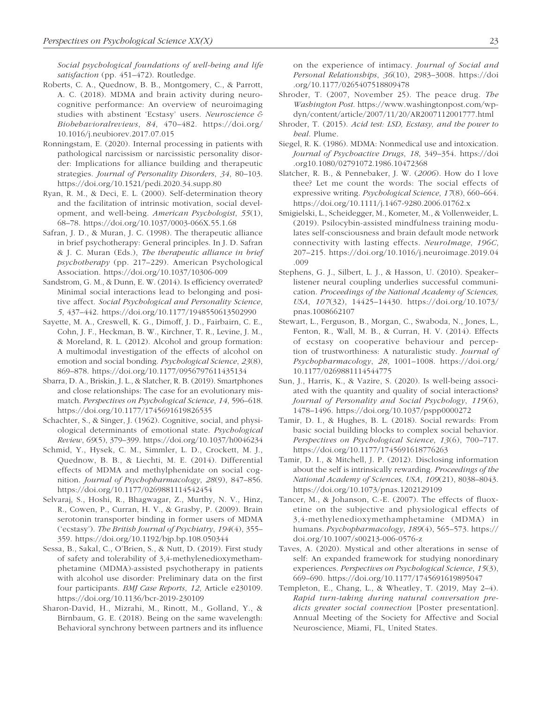*Social psychological foundations of well-being and life satisfaction* (pp. 451–472). Routledge.

- Roberts, C. A., Quednow, B. B., Montgomery, C., & Parrott, A. C. (2018). MDMA and brain activity during neurocognitive performance: An overview of neuroimaging studies with abstinent 'Ecstasy' users. *Neuroscience & Biobehavioralreviews*, *84*, 470–482. [https://doi.org/](https://doi.org/10.1016/j.neubiorev.2017.07.015) [10.1016/j.neubiorev.2017.07.015](https://doi.org/10.1016/j.neubiorev.2017.07.015)
- Ronningstam, E. (2020). Internal processing in patients with pathological narcissism or narcissistic personality disorder: Implications for alliance building and therapeutic strategies. *Journal of Personality Disorders*, *34*, 80–103. <https://doi.org/10.1521/pedi.2020.34.supp.80>
- Ryan, R. M., & Deci, E. L. (2000). Self-determination theory and the facilitation of intrinsic motivation, social development, and well-being. *American Psychologist*, *55*(1), 68–78. <https://doi.org/10.1037/0003-066X.55.1.68>
- Safran, J. D., & Muran, J. C. (1998). The therapeutic alliance in brief psychotherapy: General principles. In J. D. Safran & J. C. Muran (Eds.), *The therapeutic alliance in brief psychotherapy* (pp. 217–229). American Psychological Association. <https://doi.org/10.1037/10306-009>
- Sandstrom, G. M., & Dunn, E. W. (2014). Is efficiency overrated? Minimal social interactions lead to belonging and positive affect. *Social Psychological and Personality Science*, *5*, 437–442.<https://doi.org/10.1177/1948550613502990>
- Sayette, M. A., Creswell, K. G., Dimoff, J. D., Fairbairn, C. E., Cohn, J. F., Heckman, B. W., Kirchner, T. R., Levine, J. M., & Moreland, R. L. (2012). Alcohol and group formation: A multimodal investigation of the effects of alcohol on emotion and social bonding. *Psychological Science*, *23*(8), 869–878. <https://doi.org/10.1177/0956797611435134>
- Sbarra, D. A., Briskin, J. L., & Slatcher, R. B. (2019). Smartphones and close relationships: The case for an evolutionary mismatch. *Perspectives on Psychological Science*, *14*, 596–618. <https://doi.org/10.1177/1745691619826535>
- Schachter, S., & Singer, J. (1962). Cognitive, social, and physiological determinants of emotional state. *Psychological Review*, *69*(5), 379–399.<https://doi.org/10.1037/h0046234>
- Schmid, Y., Hysek, C. M., Simmler, L. D., Crockett, M. J., Quednow, B. B., & Liechti, M. E. (2014). Differential effects of MDMA and methylphenidate on social cognition. *Journal of Psychopharmacology*, *28*(9), 847–856. <https://doi.org/10.1177/0269881114542454>
- Selvaraj, S., Hoshi, R., Bhagwagar, Z., Murthy, N. V., Hinz, R., Cowen, P., Curran, H. V., & Grasby, P. (2009). Brain serotonin transporter binding in former users of MDMA ('ecstasy'). *The British Journal of Psychiatry*, *194*(4), 355– 359. <https://doi.org/10.1192/bjp.bp.108.050344>
- Sessa, B., Sakal, C., O'Brien, S., & Nutt, D. (2019). First study of safety and tolerability of 3,4-methylenedioxymethamphetamine (MDMA)-assisted psychotherapy in patients with alcohol use disorder: Preliminary data on the first four participants. *BMJ Case Reports*, *12*, Article e230109. <https://doi.org/10.1136/bcr-2019-230109>
- Sharon-David, H., Mizrahi, M., Rinott, M., Golland, Y., & Birnbaum, G. E. (2018). Being on the same wavelength: Behavioral synchrony between partners and its influence

on the experience of intimacy. *Journal of Social and Personal Relationships*, *36*(10), 2983–3008. [https://doi](https://doi.org/10.1177/0265407518809478) [.org/10.1177/0265407518809478](https://doi.org/10.1177/0265407518809478)

- Shroder, T. (2007, November 25). The peace drug. *The Washington Post*. [https://www.washingtonpost.com/wp](https://www.washingtonpost.com/wp-dyn/content/article/2007/11/20/AR2007112001777.html)[dyn/content/article/2007/11/20/AR2007112001777.html](https://www.washingtonpost.com/wp-dyn/content/article/2007/11/20/AR2007112001777.html)
- Shroder, T. (2015). *Acid test: LSD, Ecstasy, and the power to heal*. Plume.
- Siegel, R. K. (1986). MDMA: Nonmedical use and intoxication. *Journal of Psychoactive Drugs*, *18*, 349–354. [https://doi](https://doi.org10.1080/02791072.1986.10472368) [.org10.1080/02791072.1986.10472368](https://doi.org10.1080/02791072.1986.10472368)
- Slatcher, R. B., & Pennebaker, J. W. (*2006*). How do I love thee? Let me count the words: The social effects of expressive writing. *Psychological Science*, *17*(8), 660–664. <https://doi.org/10.1111/j.1467-9280.2006.01762.x>
- Smigielski, L., Scheidegger, M., Kometer, M., & Vollenweider, L. (2019). Psilocybin-assisted mindfulness training modulates self-consciousness and brain default mode network connectivity with lasting effects. *NeuroImage*, *196C*, 207–215. [https://doi.org/10.1016/j.neuroimage.2019.04](https://doi.org/10.1016/j.neuroimage.2019.04.009) [.009](https://doi.org/10.1016/j.neuroimage.2019.04.009)
- Stephens, G. J., Silbert, L. J., & Hasson, U. (2010). Speaker– listener neural coupling underlies successful communication. *Proceedings of the National Academy of Sciences, USA*, *107*(32), 14425–14430. [https://doi.org/10.1073/](https://doi.org/10.1073/pnas.1008662107) [pnas.1008662107](https://doi.org/10.1073/pnas.1008662107)
- Stewart, L., Ferguson, B., Morgan, C., Swaboda, N., Jones, L., Fenton, R., Wall, M. B., & Curran, H. V. (2014). Effects of ecstasy on cooperative behaviour and perception of trustworthiness: A naturalistic study. *Journal of Psychopharmacology*, *28*, 1001–1008. [https://doi.org/](https://doi.org/10.1177/0269881114544775) [10.1177/0269881114544775](https://doi.org/10.1177/0269881114544775)
- Sun, J., Harris, K., & Vazire, S. (2020). Is well-being associated with the quantity and quality of social interactions? *Journal of Personality and Social Psychology*, *119*(6), 1478–1496.<https://doi.org/10.1037/pspp0000272>
- Tamir, D. I., & Hughes, B. L. (2018). Social rewards: From basic social building blocks to complex social behavior. *Perspectives on Psychological Science*, *13*(6), 700–717. <https://doi.org/10.1177/1745691618776263>
- Tamir, D. I., & Mitchell, J. P. (2012). Disclosing information about the self is intrinsically rewarding. *Proceedings of the National Academy of Sciences, USA*, *109*(21), 8038–8043. <https://doi.org/10.1073/pnas.1202129109>
- Tancer, M., & Johanson, C.-E. (2007). The effects of fluoxetine on the subjective and physiological effects of 3,4-methylenedioxymethamphetamine (MDMA) in humans. *Psychopharmacology*, *189*(4), 565–573. [https://](https://doi.org/10.1007/s00213-006-0576-z) [doi.org/10.1007/s00213-006-0576-z](https://doi.org/10.1007/s00213-006-0576-z)
- Taves, A. (2020). Mystical and other alterations in sense of self: An expanded framework for studying nonordinary experiences. *Perspectives on Psychological Science*, *15*(3), 669–690. <https://doi.org/10.1177/1745691619895047>
- Templeton, E., Chang, L., & Wheatley, T. (2019, May 2–4). *Rapid turn-taking during natural conversation predicts greater social connection* [Poster presentation]. Annual Meeting of the Society for Affective and Social Neuroscience, Miami, FL, United States.